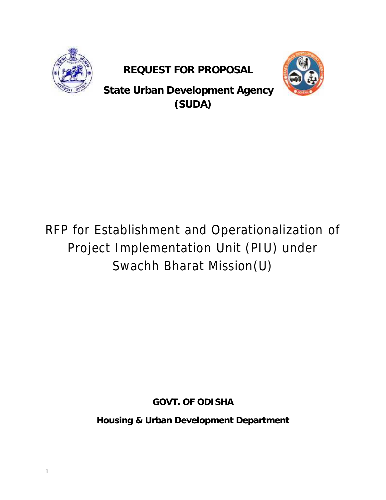

**REQUEST FOR PROPOSAL REQUEST PROPOSAL**



**State Urban Development Agency (SUDA)**

# RFP for Establishment and Operationalization of for Establishment and Operationalization of<br>Project Implementation Unit (PIU) under Swachh Bharat Mission(U)

**GOVT. OF ODISHA**

**Housing & Urban Development Department Department**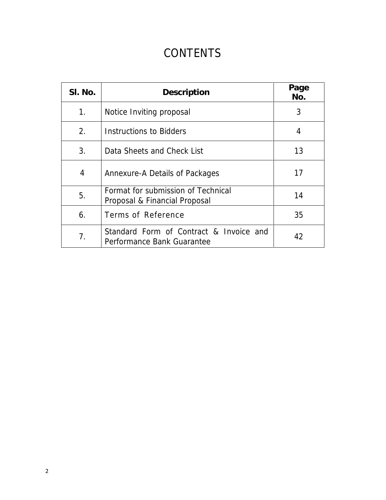## **CONTENTS**

| SI. No.        | Description                                                           | Page<br>No. |
|----------------|-----------------------------------------------------------------------|-------------|
| $1_{\cdot}$    | Notice Inviting proposal                                              | 3           |
| 2.             | Instructions to Bidders                                               | 4           |
| 3.             | Data Sheets and Check List                                            | 13          |
| 4              | Annexure-A Details of Packages                                        | 17          |
| 5.             | Format for submission of Technical<br>Proposal & Financial Proposal   | 14          |
| 6.             | Terms of Reference                                                    | 35          |
| 7 <sub>1</sub> | Standard Form of Contract & Invoice and<br>Performance Bank Guarantee | 42          |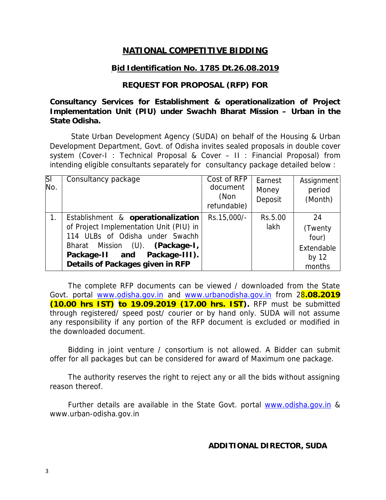### **NATIONAL COMPETITIVE BIDDING**

#### **Bid Identification No. 1785 Dt.26.08.2019**

#### **REQUEST FOR PROPOSAL (RFP) FOR**

**Consultancy Services for Establishment & operationalization of Project Implementation Unit (PIU) under Swachh Bharat Mission – Urban in the State Odisha.**

State Urban Development Agency (SUDA) on behalf of the Housing & Urban Development Department, Govt. of Odisha invites sealed proposals in double cover system (Cover-I : Technical Proposal & Cover – II : Financial Proposal) from intending eligible consultants separately for consultancy package detailed below :

| $ \overline{SI} $<br>No. | Consultancy package                                                                                                                                                                                                     | Cost of RFP<br>document<br>(Non<br>refundable) | Earnest<br>Money<br>Deposit | Assignment<br>period<br>(Month)                           |
|--------------------------|-------------------------------------------------------------------------------------------------------------------------------------------------------------------------------------------------------------------------|------------------------------------------------|-----------------------------|-----------------------------------------------------------|
|                          | Establishment & operationalization<br>of Project Implementation Unit (PIU) in<br>114 ULBs of Odisha under Swachh<br>Bharat Mission (U). (Package-1,<br>Package-II and Package-III).<br>Details of Packages given in RFP | Rs.15,000/-                                    | Rs.5.00<br>lakh             | 24<br>(Twenty<br>four)<br>Extendable<br>by $12$<br>months |

The complete RFP documents can be viewed / downloaded from the State Govt. portal www.odisha.gov.in and www.urbanodisha.gov.in from 28**.08.2019 (10.00 hrs IST) to 19.09.2019 (17.00 hrs. IST).** RFP must be submitted through registered/ speed post/ courier or by hand only. SUDA will not assume any responsibility if any portion of the RFP document is excluded or modified in the downloaded document.

Bidding in joint venture / consortium is not allowed. A Bidder can submit offer for all packages but can be considered for award of Maximum one package.

The authority reserves the right to reject any or all the bids without assigning reason thereof.

Further details are available in the State Govt. portal www.odisha.gov.in & www.urban-odisha.gov.in

**ADDITIONAL DIRECTOR, SUDA**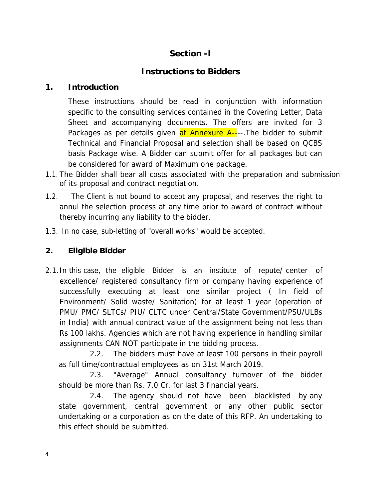### **Section -I**

### **Instructions to Bidders**

### **1. Introduction**

These instructions should be read in conjunction with information specific to the consulting services contained in the Covering Letter, Data Sheet and accompanying documents. The offers are invited for 3 Packages as per details given at Annexure A----. The bidder to submit Technical and Financial Proposal and selection shall be based on QCBS basis Package wise. A Bidder can submit offer for all packages but can be considered for award of Maximum one package.

- 1.1. The Bidder shall bear all costs associated with the preparation and submission of its proposal and contract negotiation.
- 1.2. The Client is not bound to accept any proposal, and reserves the right to annul the selection process at any time prior to award of contract without thereby incurring any liability to the bidder.
- 1.3. In no case, sub-letting of "overall works" would be accepted.
- **2. Eligible Bidder**
- 2.1.In this case, the eligible Bidder is an institute of repute/ center of excellence/ registered consultancy firm or company having experience of successfully executing at least one similar project ( In field of Environment/ Solid waste/ Sanitation) for at least 1 year (operation of PMU/ PMC/ SLTCs/ PIU/ CLTC under Central/State Government/PSU/ULBs in India) with annual contract value of the assignment being not less than Rs 100 lakhs. Agencies which are not having experience in handling similar assignments CAN NOT participate in the bidding process.

2.2. The bidders must have at least 100 persons in their payroll as full time/contractual employees as on 31st March 2019.

2.3. "Average" Annual consultancy turnover of the bidder should be more than Rs. 7.0 Cr. for last 3 financial years.

2.4. The agency should not have been blacklisted by any state government, central government or any other public sector undertaking or a corporation as on the date of this RFP. An undertaking to this effect should be submitted.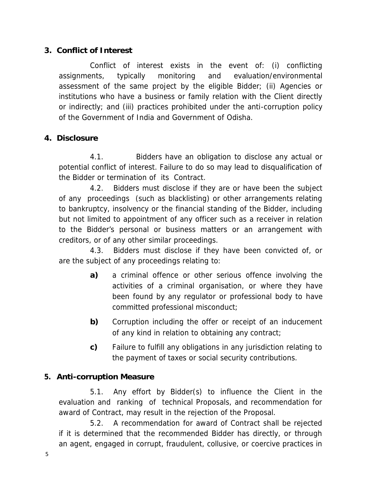### **3. Conflict of Interest**

Conflict of interest exists in the event of: (i) conflicting assignments, typically monitoring and evaluation/environmental assessment of the same project by the eligible Bidder; (ii) Agencies or institutions who have a business or family relation with the Client directly or indirectly; and (iii) practices prohibited under the anti-corruption policy of the Government of India and Government of Odisha.

### **4. Disclosure**

4.1. Bidders have an obligation to disclose any actual or potential conflict of interest. Failure to do so may lead to disqualification of the Bidder or termination of its Contract.

4.2. Bidders must disclose if they are or have been the subject of any proceedings (such as blacklisting) or other arrangements relating to bankruptcy, insolvency or the financial standing of the Bidder, including but not limited to appointment of any officer such as a receiver in relation to the Bidder's personal or business matters or an arrangement with creditors, or of any other similar proceedings.

4.3. Bidders must disclose if they have been convicted of, or are the subject of any proceedings relating to:

- **a)** a criminal offence or other serious offence involving the activities of a criminal organisation, or where they have been found by any regulator or professional body to have committed professional misconduct;
- **b)** Corruption including the offer or receipt of an inducement of any kind in relation to obtaining any contract;
- **c)** Failure to fulfill any obligations in any jurisdiction relating to the payment of taxes or social security contributions.

### **5. Anti-corruption Measure**

5.1. Any effort by Bidder(s) to influence the Client in the evaluation and ranking of technical Proposals, and recommendation for award of Contract, may result in the rejection of the Proposal.

5.2. A recommendation for award of Contract shall be rejected if it is determined that the recommended Bidder has directly, or through an agent, engaged in corrupt, fraudulent, collusive, or coercive practices in

5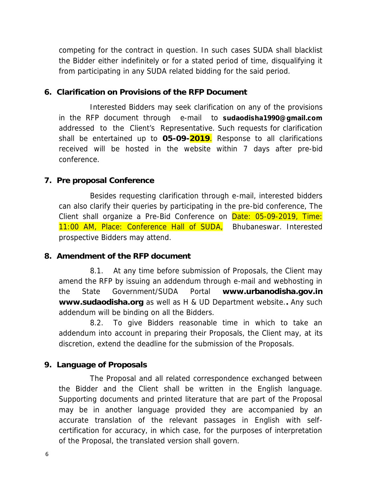competing for the contract in question. In such cases SUDA shall blacklist the Bidder either indefinitely or for a stated period of time, disqualifying it from participating in any SUDA related bidding for the said period.

**6. Clarification on Provisions of the RFP Document**

Interested Bidders may seek clarification on any of the provisions in the RFP document through e-mail to **sudaodisha1990@gmail.com** addressed to the Client's Representative. Such requests for clarification shall be entertained up to **05-09-2019**. Response to all clarifications received will be hosted in the website within 7 days after pre-bid conference.

**7. Pre proposal Conference**

Besides requesting clarification through e-mail, interested bidders can also clarify their queries by participating in the pre-bid conference, The Client shall organize a Pre-Bid Conference on Date: 05-09-2019, Time: 11:00 AM, Place: Conference Hall of SUDA, Bhubaneswar. Interested prospective Bidders may attend.

**8. Amendment of the RFP document**

8.1. At any time before submission of Proposals, the Client may amend the RFP by issuing an addendum through e-mail and webhosting in the State Government/SUDA Portal **www.urbanodisha.gov.in www.sudaodisha.org** as well as H & UD Department website.**.** Any such addendum will be binding on all the Bidders.

8.2. To give Bidders reasonable time in which to take an addendum into account in preparing their Proposals, the Client may, at its discretion, extend the deadline for the submission of the Proposals.

**9. Language of Proposals**

The Proposal and all related correspondence exchanged between the Bidder and the Client shall be written in the English language. Supporting documents and printed literature that are part of the Proposal may be in another language provided they are accompanied by an accurate translation of the relevant passages in English with self certification for accuracy, in which case, for the purposes of interpretation of the Proposal, the translated version shall govern.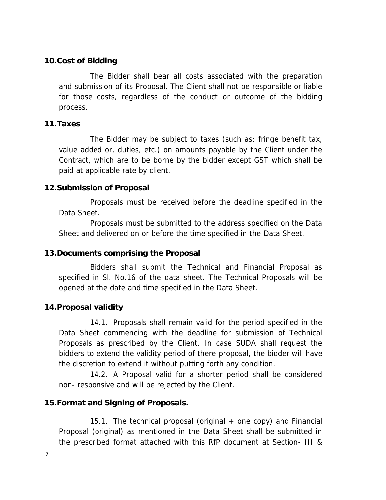#### **10.Cost of Bidding**

The Bidder shall bear all costs associated with the preparation and submission of its Proposal. The Client shall not be responsible or liable for those costs, regardless of the conduct or outcome of the bidding process.

#### **11.Taxes**

The Bidder may be subject to taxes (such as: fringe benefit tax, value added or, duties, etc.) on amounts payable by the Client under the Contract, which are to be borne by the bidder except GST which shall be paid at applicable rate by client.

### **12.Submission of Proposal**

Proposals must be received before the deadline specified in the Data Sheet.

Proposals must be submitted to the address specified on the Data Sheet and delivered on or before the time specified in the Data Sheet.

### **13.Documents comprising the Proposal**

Bidders shall submit the Technical and Financial Proposal as specified in Sl. No.16 of the data sheet. The Technical Proposals will be opened at the date and time specified in the Data Sheet.

### **14.Proposal validity**

14.1. Proposals shall remain valid for the period specified in the Data Sheet commencing with the deadline for submission of Technical Proposals as prescribed by the Client. In case SUDA shall request the bidders to extend the validity period of there proposal, the bidder will have the discretion to extend it without putting forth any condition.

14.2. A Proposal valid for a shorter period shall be considered non- responsive and will be rejected by the Client.

### **15.Format and Signing of Proposals.**

15.1. The technical proposal (original  $+$  one copy) and Financial Proposal (original) as mentioned in the Data Sheet shall be submitted in the prescribed format attached with this RfP document at Section- III &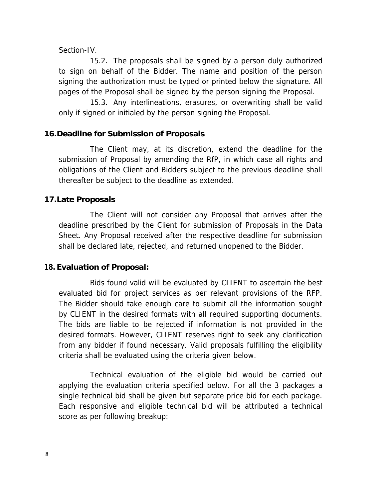#### Section-IV.

15.2. The proposals shall be signed by a person duly authorized to sign on behalf of the Bidder. The name and position of the person signing the authorization must be typed or printed below the signature. All pages of the Proposal shall be signed by the person signing the Proposal.

15.3. Any interlineations, erasures, or overwriting shall be valid only if signed or initialed by the person signing the Proposal.

### **16.Deadline for Submission of Proposals**

The Client may, at its discretion, extend the deadline for the submission of Proposal by amending the RfP, in which case all rights and obligations of the Client and Bidders subject to the previous deadline shall thereafter be subject to the deadline as extended.

#### **17.Late Proposals**

The Client will not consider any Proposal that arrives after the deadline prescribed by the Client for submission of Proposals in the Data Sheet. Any Proposal received after the respective deadline for submission shall be declared late, rejected, and returned unopened to the Bidder.

### **18. Evaluation of Proposal:**

Bids found valid will be evaluated by CLIENT to ascertain the best evaluated bid for project services as per relevant provisions of the RFP. The Bidder should take enough care to submit all the information sought by CLIENT in the desired formats with all required supporting documents. The bids are liable to be rejected if information is not provided in the desired formats. However, CLIENT reserves right to seek any clarification from any bidder if found necessary. Valid proposals fulfilling the eligibility criteria shall be evaluated using the criteria given below.

Technical evaluation of the eligible bid would be carried out applying the evaluation criteria specified below. For all the 3 packages a single technical bid shall be given but separate price bid for each package. Each responsive and eligible technical bid will be attributed a technical score as per following breakup: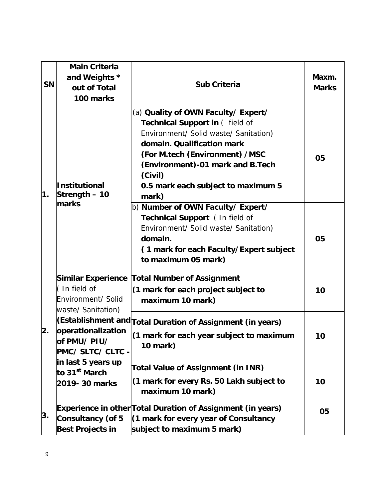| SN | Main Criteria<br>and Weights *<br>out of Total<br>100 marks                    | Sub Criteria                                                                                                                                                                                                                                                                  | Maxm.<br><b>Marks</b> |
|----|--------------------------------------------------------------------------------|-------------------------------------------------------------------------------------------------------------------------------------------------------------------------------------------------------------------------------------------------------------------------------|-----------------------|
| 1. | Institutional<br>Strength - 10                                                 | (a) Quality of OWN Faculty/ Expert/<br>Technical Support in ( field of<br>Environment/ Solid waste/ Sanitation)<br>domain. Qualification mark<br>(For M.tech (Environment) /MSC<br>(Environment)-01 mark and B.Tech<br>(Civil)<br>0.5 mark each subject to maximum 5<br>mark) | 05                    |
|    | marks                                                                          | b) Number of OWN Faculty/ Expert/<br>Technical Support ( In field of<br>Environment/ Solid waste/ Sanitation)<br>domain.<br>(1 mark for each Faculty/Expert subject<br>to maximum 05 mark)                                                                                    | 05                    |
|    | Similar Experience<br>(In field of<br>Environment/ Solid<br>waste/ Sanitation) | <b>Total Number of Assignment</b><br>(1 mark for each project subject to<br>maximum 10 mark)                                                                                                                                                                                  | 10                    |
| 2. | operationalization<br>of PMU/PIU/<br>PMC/SLTC/CLTC-                            | (Establishment and Total Duration of Assignment (in years)<br>(1 mark for each year subject to maximum<br>10 mark)                                                                                                                                                            | 10                    |
|    | in last 5 years up<br>to 31 <sup>st</sup> March<br>2019-30 marks               | Total Value of Assignment (in INR)<br>(1 mark for every Rs. 50 Lakh subject to<br>maximum 10 mark)                                                                                                                                                                            | 10                    |
| 3. | Consultancy (of 5<br>Best Projects in                                          | Experience in other Total Duration of Assignment (in years)<br>(1 mark for every year of Consultancy<br>subject to maximum 5 mark)                                                                                                                                            | 05                    |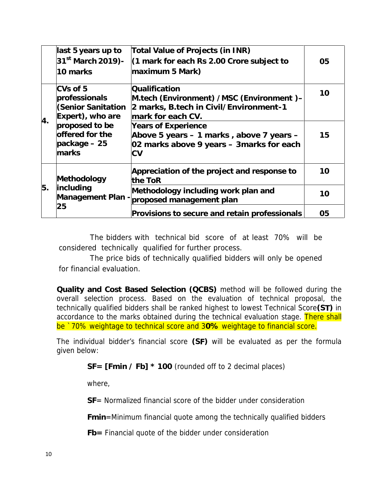|    | last 5 years up to                                                  | Total Value of Projects (in INR)                                                                                           |    |
|----|---------------------------------------------------------------------|----------------------------------------------------------------------------------------------------------------------------|----|
|    | 31 <sup>st</sup> March 2019)-<br>10 marks                           | (1 mark for each Rs 2.00 Crore subject to<br>maximum 5 Mark)                                                               | 05 |
|    | CVs of 5<br>professionals<br>(Senior Sanitation<br>Expert), who are | Qualification<br>M.tech (Environment) / MSC (Environment) -<br>2 marks, B.tech in Civil/Environment-1<br>mark for each CV. | 10 |
| 4. | proposed to be<br>offered for the<br>$package - 25$<br>marks        | Years of Experience<br>Above 5 years - 1 marks, above 7 years -<br>02 marks above 9 years - 3 marks for each<br>СV         | 15 |
|    | Methodology                                                         | Appreciation of the project and response to<br>the ToR                                                                     | 10 |
| 5. | including                                                           | Methodology including work plan and<br>Management Plan - proposed management plan                                          | 10 |
|    | 25                                                                  | Provisions to secure and retain professionals                                                                              | 05 |

The bidders with technical bid score of at least 70% will be considered technically qualified for further process.

The price bids of technically qualified bidders will only be opened for financial evaluation.

**Quality and Cost Based Selection (QCBS)** method will be followed during the overall selection process. Based on the evaluation of technical proposal, the technically qualified bidders shall be ranked highest to lowest Technical Score**(ST)** in accordance to the marks obtained during the technical evaluation stage. There shall be '70% weightage to technical score and 30% weightage to financial score.

The individual bidder's financial score **(SF)** will be evaluated as per the formula given below:

**SF= [Fmin / Fb] \* 100** (rounded off to 2 decimal places)

where,

**SF**= Normalized financial score of the bidder under consideration

**Fmin**=Minimum financial quote among the technically qualified bidders

**Fb=** Financial quote of the bidder under consideration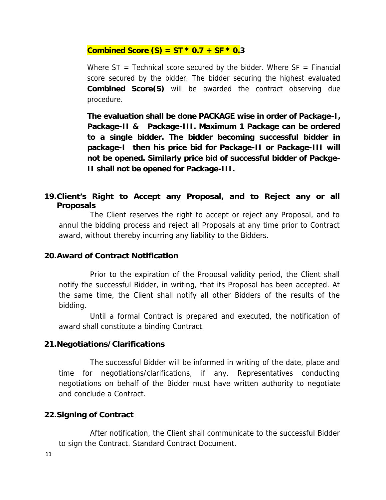#### **Combined Score (S) = ST**  $*$  **0.7 + SF**  $*$  **0.3**

Where  $ST = Technical score$  score secured by the bidder. Where  $SF = Financial$ score secured by the bidder. The bidder securing the highest evaluated **Combined Score(S)** will be awarded the contract observing due procedure.

**The evaluation shall be done PACKAGE wise in order of Package-I, Package-II & Package-III. Maximum 1 Package can be ordered to a single bidder. The bidder becoming successful bidder in package-I then his price bid for Package-II or Package-III will not be opened. Similarly price bid of successful bidder of Packge- II shall not be opened for Package-III.**

**19.Client's Right to Accept any Proposal, and to Reject any or all Proposals**

The Client reserves the right to accept or reject any Proposal, and to annul the bidding process and reject all Proposals at any time prior to Contract award, without thereby incurring any liability to the Bidders.

#### **20.Award of Contract Notification**

Prior to the expiration of the Proposal validity period, the Client shall notify the successful Bidder, in writing, that its Proposal has been accepted. At the same time, the Client shall notify all other Bidders of the results of the bidding.

Until a formal Contract is prepared and executed, the notification of award shall constitute a binding Contract.

### **21.Negotiations/Clarifications**

The successful Bidder will be informed in writing of the date, place and time for negotiations/clarifications, if any. Representatives conducting negotiations on behalf of the Bidder must have written authority to negotiate and conclude a Contract.

### **22.Signing of Contract**

After notification, the Client shall communicate to the successful Bidder to sign the Contract. Standard Contract Document.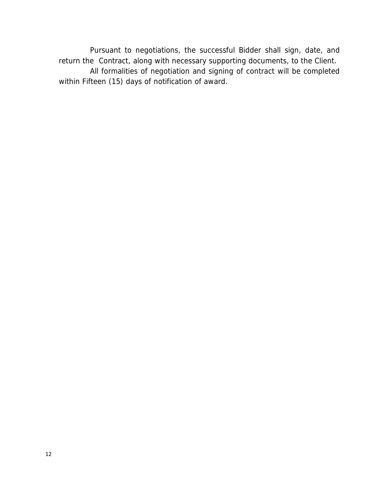Pursuant to negotiations, the successful Bidder shall sign, date, and return the Contract, along with necessary supporting documents, to the Client. All formalities of negotiation and signing of contract will be completed within Fifteen (15) days of notification of award.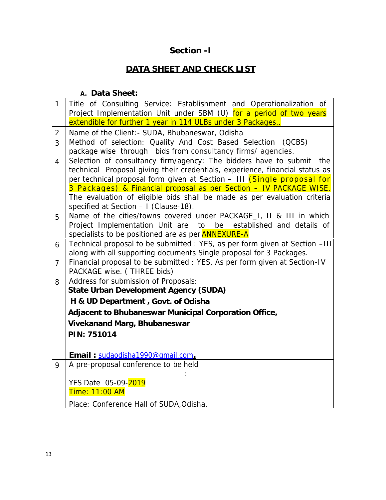### **Section -I**

### **DATA SHEET AND CHECK LIST**

**A. Data Sheet:**

| $\mathbf{1}$   | Title of Consulting Service: Establishment and Operationalization of<br>Project Implementation Unit under SBM (U) for a period of two years             |
|----------------|---------------------------------------------------------------------------------------------------------------------------------------------------------|
|                | extendible for further 1 year in 114 ULBs under 3 Packages                                                                                              |
| $\overline{2}$ | Name of the Client: - SUDA, Bhubaneswar, Odisha                                                                                                         |
| 3              | Method of selection: Quality And Cost Based Selection (QCBS)                                                                                            |
|                | package wise through bids from consultancy firms/ agencies.                                                                                             |
| 4              | Selection of consultancy firm/agency: The bidders have to submit<br>the                                                                                 |
|                | technical Proposal giving their credentials, experience, financial status as<br>per technical proposal form given at Section - III (Single proposal for |
|                | 3 Packages) & Financial proposal as per Section - IV PACKAGE WISE.                                                                                      |
|                | The evaluation of eligible bids shall be made as per evaluation criteria                                                                                |
|                | specified at Section - I (Clause-18).                                                                                                                   |
| 5              | Name of the cities/towns covered under PACKAGE_I, II & III in which                                                                                     |
|                | Project Implementation Unit are<br>be established and details of<br>to                                                                                  |
|                | specialists to be positioned are as per <b>ANNEXURE-A</b>                                                                                               |
| 6              | Technical proposal to be submitted : YES, as per form given at Section -III<br>along with all supporting documents Single proposal for 3 Packages.      |
| $\overline{7}$ | Financial proposal to be submitted : YES, As per form given at Section-IV<br>PACKAGE wise. (THREE bids)                                                 |
| 8              | Address for submission of Proposals:                                                                                                                    |
|                | State Urban Development Agency (SUDA)                                                                                                                   |
|                | H & UD Department, Govt. of Odisha                                                                                                                      |
|                | Adjacent to Bhubaneswar Municipal Corporation Office,                                                                                                   |
|                | Vivekanand Marg, Bhubaneswar                                                                                                                            |
|                | PIN: 751014                                                                                                                                             |
|                |                                                                                                                                                         |
|                | Email: sudaodisha1990@qmail.com.                                                                                                                        |
| 9              | A pre-proposal conference to be held                                                                                                                    |
|                |                                                                                                                                                         |
|                | YES Date 05-09-2019                                                                                                                                     |
|                | Time: 11:00 AM                                                                                                                                          |
|                | Place: Conference Hall of SUDA, Odisha.                                                                                                                 |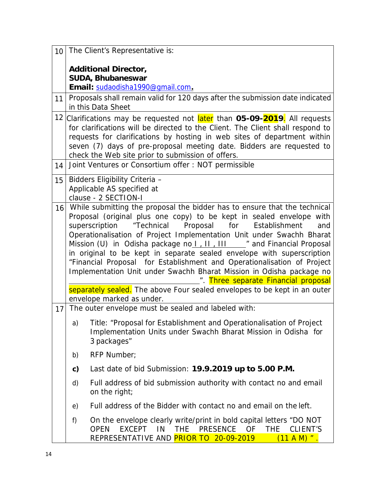| 10 |                                                                                                                                                                                                                                                                                                                                                                                                                                                                                                                                                                         | The Client's Representative is:                                                                                                                                                                                                                                                                                                                                        |  |
|----|-------------------------------------------------------------------------------------------------------------------------------------------------------------------------------------------------------------------------------------------------------------------------------------------------------------------------------------------------------------------------------------------------------------------------------------------------------------------------------------------------------------------------------------------------------------------------|------------------------------------------------------------------------------------------------------------------------------------------------------------------------------------------------------------------------------------------------------------------------------------------------------------------------------------------------------------------------|--|
|    |                                                                                                                                                                                                                                                                                                                                                                                                                                                                                                                                                                         | Additional Director,                                                                                                                                                                                                                                                                                                                                                   |  |
|    |                                                                                                                                                                                                                                                                                                                                                                                                                                                                                                                                                                         | SUDA, Bhubaneswar                                                                                                                                                                                                                                                                                                                                                      |  |
|    |                                                                                                                                                                                                                                                                                                                                                                                                                                                                                                                                                                         | Email: sudaodisha1990@qmail.com.                                                                                                                                                                                                                                                                                                                                       |  |
| 11 |                                                                                                                                                                                                                                                                                                                                                                                                                                                                                                                                                                         | Proposals shall remain valid for 120 days after the submission date indicated<br>in this Data Sheet                                                                                                                                                                                                                                                                    |  |
|    |                                                                                                                                                                                                                                                                                                                                                                                                                                                                                                                                                                         | 12 Clarifications may be requested not later than 05-09-2019. All requests<br>for clarifications will be directed to the Client. The Client shall respond to<br>requests for clarifications by hosting in web sites of department within<br>seven (7) days of pre-proposal meeting date. Bidders are requested to<br>check the Web site prior to submission of offers. |  |
| 14 |                                                                                                                                                                                                                                                                                                                                                                                                                                                                                                                                                                         | Joint Ventures or Consortium offer: NOT permissible                                                                                                                                                                                                                                                                                                                    |  |
| 15 |                                                                                                                                                                                                                                                                                                                                                                                                                                                                                                                                                                         | Bidders Eligibility Criteria -<br>Applicable AS specified at<br>clause - 2 SECTION-I                                                                                                                                                                                                                                                                                   |  |
| 16 | While submitting the proposal the bidder has to ensure that the technical<br>Proposal (original plus one copy) to be kept in sealed envelope with<br>Proposal<br>superscription<br>"Technical<br>for<br>Establishment<br>and<br>Operationalisation of Project Implementation Unit under Swachh Bharat<br>in original to be kept in separate sealed envelope with superscription<br>"Financial Proposal for Establishment and Operationalisation of Project<br>Implementation Unit under Swachh Bharat Mission in Odisha package no<br>Three separate Financial proposal |                                                                                                                                                                                                                                                                                                                                                                        |  |
| 17 |                                                                                                                                                                                                                                                                                                                                                                                                                                                                                                                                                                         | separately sealed. The above Four sealed envelopes to be kept in an outer<br>envelope marked as under.<br>The outer envelope must be sealed and labeled with:                                                                                                                                                                                                          |  |
|    | a)                                                                                                                                                                                                                                                                                                                                                                                                                                                                                                                                                                      | Title: "Proposal for Establishment and Operationalisation of Project<br>Implementation Units under Swachh Bharat Mission in Odisha for<br>3 packages"                                                                                                                                                                                                                  |  |
|    | b)                                                                                                                                                                                                                                                                                                                                                                                                                                                                                                                                                                      | RFP Number;                                                                                                                                                                                                                                                                                                                                                            |  |
|    | $\mathsf{C}$ )                                                                                                                                                                                                                                                                                                                                                                                                                                                                                                                                                          | Last date of bid Submission: 19.9.2019 up to 5.00 P.M.                                                                                                                                                                                                                                                                                                                 |  |
|    | d)                                                                                                                                                                                                                                                                                                                                                                                                                                                                                                                                                                      | Full address of bid submission authority with contact no and email<br>on the right;                                                                                                                                                                                                                                                                                    |  |
|    | e)                                                                                                                                                                                                                                                                                                                                                                                                                                                                                                                                                                      | Full address of the Bidder with contact no and email on the left.                                                                                                                                                                                                                                                                                                      |  |
|    | f)                                                                                                                                                                                                                                                                                                                                                                                                                                                                                                                                                                      | On the envelope clearly write/print in bold capital letters "DO NOT<br><b>EXCEPT</b><br><b>PRESENCE</b><br><b>THE</b><br><b>OPEN</b><br>IN<br><b>THE</b><br>OF<br>CLIENT'S<br>REPRESENTATIVE AND <b>PRIOR TO 20-09-2019</b><br>$(11 A M)$ ".                                                                                                                           |  |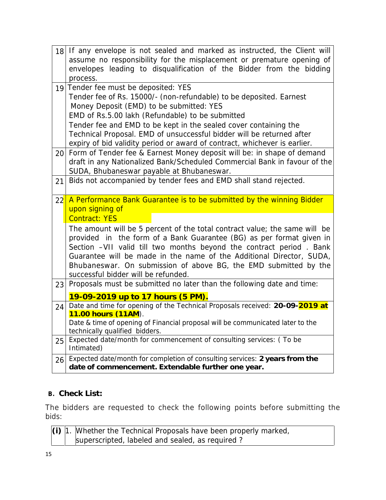|    | 18 If any envelope is not sealed and marked as instructed, the Client will<br>assume no responsibility for the misplacement or premature opening of<br>envelopes leading to disqualification of the Bidder from the bidding<br>process.                                                                                                                                                                                                                                                                                          |  |  |  |
|----|----------------------------------------------------------------------------------------------------------------------------------------------------------------------------------------------------------------------------------------------------------------------------------------------------------------------------------------------------------------------------------------------------------------------------------------------------------------------------------------------------------------------------------|--|--|--|
|    | 19 Tender fee must be deposited: YES<br>Tender fee of Rs. 15000/- (non-refundable) to be deposited. Earnest<br>Money Deposit (EMD) to be submitted: YES<br>EMD of Rs.5.00 lakh (Refundable) to be submitted<br>Tender fee and EMD to be kept in the sealed cover containing the<br>Technical Proposal. EMD of unsuccessful bidder will be returned after<br>expiry of bid validity period or award of contract, whichever is earlier.<br>20 Form of Tender fee & Earnest Money deposit will be: in shape of demand               |  |  |  |
| 21 | draft in any Nationalized Bank/Scheduled Commercial Bank in favour of the<br>SUDA, Bhubaneswar payable at Bhubaneswar.<br>Bids not accompanied by tender fees and EMD shall stand rejected.                                                                                                                                                                                                                                                                                                                                      |  |  |  |
| 22 | A Performance Bank Guarantee is to be submitted by the winning Bidder<br>upon signing of<br><b>Contract: YES</b><br>The amount will be 5 percent of the total contract value; the same will be<br>provided in the form of a Bank Guarantee (BG) as per format given in<br>Section -VII valid till two months beyond the contract period. Bank<br>Guarantee will be made in the name of the Additional Director, SUDA,<br>Bhubaneswar. On submission of above BG, the EMD submitted by the<br>successful bidder will be refunded. |  |  |  |
| 23 | Proposals must be submitted no later than the following date and time:<br>19-09-2019 up to 17 hours (5 PM).                                                                                                                                                                                                                                                                                                                                                                                                                      |  |  |  |
| 24 | Date and time for opening of the Technical Proposals received: 20-09-2019 at<br>11.00 hours (11AM).<br>Date & time of opening of Financial proposal will be communicated later to the<br>technically qualified bidders.                                                                                                                                                                                                                                                                                                          |  |  |  |
| 25 | Expected date/month for commencement of consulting services: (To be<br>Intimated)                                                                                                                                                                                                                                                                                                                                                                                                                                                |  |  |  |
| 26 | Expected date/month for completion of consulting services: 2 years from the<br>date of commencement. Extendable further one year.                                                                                                                                                                                                                                                                                                                                                                                                |  |  |  |
|    |                                                                                                                                                                                                                                                                                                                                                                                                                                                                                                                                  |  |  |  |

### **B. Check List:**

The bidders are requested to check the following points before submitting the bids:

|  | $\vert$ (i) $\vert$ 1. Whether the Technical Proposals have been properly marked, |
|--|-----------------------------------------------------------------------------------|
|  | superscripted, labeled and sealed, as required?                                   |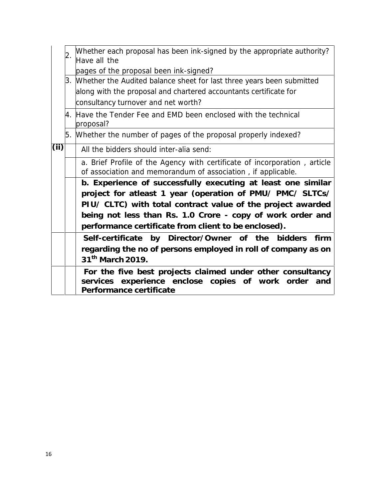|      | Whether each proposal has been ink-signed by the appropriate authority?<br>Have all the                                                          |
|------|--------------------------------------------------------------------------------------------------------------------------------------------------|
|      | pages of the proposal been ink-signed?                                                                                                           |
|      | 3. Whether the Audited balance sheet for last three years been submitted                                                                         |
|      | along with the proposal and chartered accountants certificate for                                                                                |
|      | consultancy turnover and net worth?                                                                                                              |
|      | 4. Have the Tender Fee and EMD been enclosed with the technical<br>proposal?                                                                     |
|      | 5. Whether the number of pages of the proposal properly indexed?                                                                                 |
| (ii) | All the bidders should inter-alia send:                                                                                                          |
|      | a. Brief Profile of the Agency with certificate of incorporation, article<br>of association and memorandum of association, if applicable.        |
|      | b. Experience of successfully executing at least one similar                                                                                     |
|      | project for atleast 1 year (operation of PMU/ PMC/ SLTCs/                                                                                        |
|      | PIU/ CLTC) with total contract value of the project awarded                                                                                      |
|      | being not less than Rs. 1.0 Crore - copy of work order and                                                                                       |
|      | performance certificate from client to be enclosed).                                                                                             |
|      | Self-certificate by Director/Owner of the bidders<br>firm                                                                                        |
|      | regarding the no of persons employed in roll of company as on<br>31 <sup>th</sup> March 2019.                                                    |
|      |                                                                                                                                                  |
|      | For the five best projects claimed under other consultancy<br>services experience enclose copies of work order<br>and<br>Performance certificate |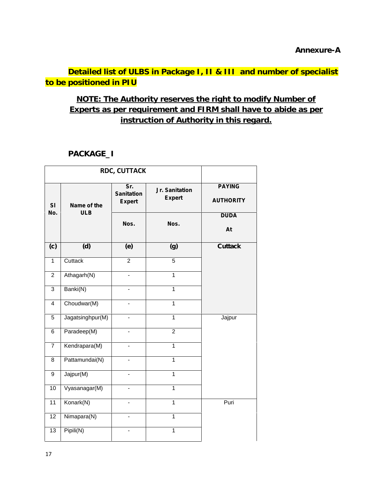**Detailed list of ULBS in Package I, II & III and number of specialist to be positioned in PIU**

### **NOTE: The Authority reserves the right to modify Number of Experts as per requirement and FIRM shall have to abide as per instruction of Authority in this regard.**

### **PACKAGE\_I**

| <b>RDC, CUTTACK</b> |                           |                                           |                                 |                                   |
|---------------------|---------------------------|-------------------------------------------|---------------------------------|-----------------------------------|
| SI                  | Name of the<br><b>ULB</b> | Sr.<br><b>Sanitation</b><br><b>Expert</b> | Jr. Sanitation<br><b>Expert</b> | <b>PAYING</b><br><b>AUTHORITY</b> |
| No.                 |                           | Nos.                                      | Nos.                            | <b>DUDA</b><br>At                 |
| (c)                 | (d)                       | (e)                                       | (g)                             | <b>Cuttack</b>                    |
| $\mathbf{1}$        | Cuttack                   | $\overline{c}$                            | 5                               |                                   |
| $\overline{2}$      | Athagarh(N)               |                                           | $\overline{1}$                  |                                   |
| $\overline{3}$      | Banki(N)                  |                                           | $\mathbf{1}$                    |                                   |
| $\overline{4}$      | Choudwar(M)               |                                           | $\overline{1}$                  |                                   |
| $\overline{5}$      | Jagatsinghpur(M)          | ä,                                        | $\overline{1}$                  | Jajpur                            |
| 6                   | Paradeep(M)               | ä,                                        | $\overline{2}$                  |                                   |
| $\overline{7}$      | Kendrapara(M)             | $\blacksquare$                            | $\overline{1}$                  |                                   |
| 8                   | Pattamundai(N)            |                                           | $\mathbf{1}$                    |                                   |
| 9                   | Jajpur(M)                 |                                           | $\overline{1}$                  |                                   |
| 10                  | Vyasanagar(M)             | ä,                                        | $\mathbf{1}$                    |                                   |
| 11                  | Konark(N)                 | $\overline{\phantom{0}}$                  | $\mathbf{1}$                    | Puri                              |
| 12 <sup>2</sup>     | Nimapara(N)               | $\blacksquare$                            | $\mathbf 1$                     |                                   |
| 13                  | Pipili(N)                 | $\overline{\phantom{0}}$                  | $\mathbf{1}$                    |                                   |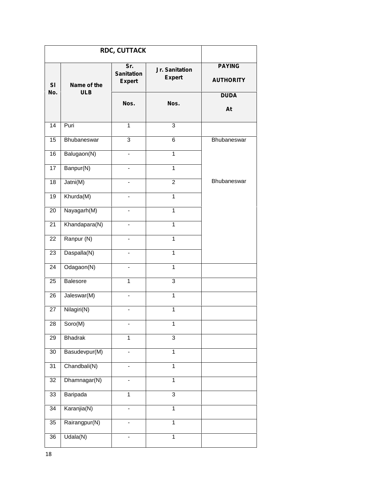| <b>RDC, CUTTACK</b> |                           |                                           |                                 |                                                  |
|---------------------|---------------------------|-------------------------------------------|---------------------------------|--------------------------------------------------|
| SI<br>No.           | Name of the<br><b>ULB</b> | Sr.<br><b>Sanitation</b><br><b>Expert</b> | Jr. Sanitation<br><b>Expert</b> | <b>PAYING</b><br><b>AUTHORITY</b><br><b>DUDA</b> |
|                     |                           | Nos.                                      | Nos.                            | At                                               |
| 14                  | Puri                      | $\mathbf{1}$                              | 3                               |                                                  |
| 15                  | Bhubaneswar               | 3                                         | 6                               | Bhubaneswar                                      |
| 16                  | Balugaon(N)               | ۰                                         | $\mathbf{1}$                    |                                                  |
| 17                  | Banpur(N)                 | ä,                                        | $\mathbf{1}$                    |                                                  |
| 18                  | Jatni(M)                  | -                                         | $\overline{2}$                  | Bhubaneswar                                      |
| 19                  | Khurda(M)                 | $\overline{\phantom{0}}$                  | $\mathbf{1}$                    |                                                  |
| 20                  | Nayagarh(M)               |                                           | $\mathbf{1}$                    |                                                  |
| 21                  | Khandapara(N)             | ÷.                                        | $\mathbf{1}$                    |                                                  |
| 22                  | Ranpur (N)                | ÷,                                        | 1                               |                                                  |
| 23                  | Daspalla(N)               | ÷.                                        | 1                               |                                                  |
| 24                  | Odagaon(N)                |                                           | 1                               |                                                  |
| 25                  | Balesore                  | $\mathbf{1}$                              | 3                               |                                                  |
| 26                  | Jaleswar(M)               | $\overline{\phantom{0}}$                  | $\mathbf{1}$                    |                                                  |
| 27                  | Nilagiri(N)               | $\overline{\phantom{0}}$                  | $\mathbf{1}$                    |                                                  |
| 28                  | Soro(M)                   | $\overline{\phantom{0}}$                  | $\mathbf{1}$                    |                                                  |
| 29                  | Bhadrak                   | $\mathbf{1}$                              | $\overline{3}$                  |                                                  |
| $30\,$              | Basudevpur(M)             | ÷,                                        | $\mathbf{1}$                    |                                                  |
| 31                  | Chandbali(N)              | $\overline{\phantom{0}}$                  | $\mathbf{1}$                    |                                                  |
| 32                  | Dhamnagar(N)              |                                           | $\overline{1}$                  |                                                  |
| 33                  | Baripada                  | $\mathbf{1}$                              | $\overline{3}$                  |                                                  |
| 34                  | Karanjia(N)               |                                           | $\mathbf{1}$                    |                                                  |
| 35                  | Rairangpur(N)             |                                           | $\overline{1}$                  |                                                  |
| 36                  | Udala(N)                  | ÷,                                        | $\overline{1}$                  |                                                  |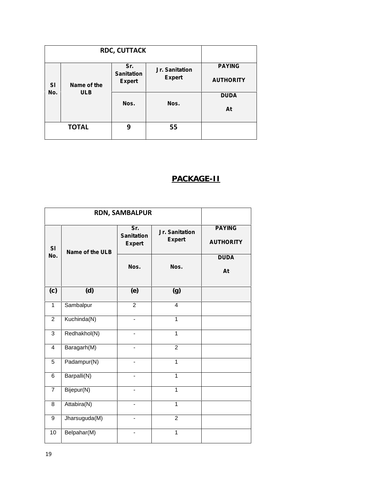|                  |                           | <b>RDC, CUTTACK</b>                       |                                 |                                   |
|------------------|---------------------------|-------------------------------------------|---------------------------------|-----------------------------------|
| <b>SI</b><br>No. | Name of the<br><b>ULB</b> | Sr.<br><b>Sanitation</b><br><b>Expert</b> | Jr. Sanitation<br><b>Expert</b> | <b>PAYING</b><br><b>AUTHORITY</b> |
|                  |                           | Nos.                                      | Nos.                            | <b>DUDA</b><br>At                 |
|                  | <b>TOTAL</b>              | 9                                         | 55                              |                                   |

### **PACKAGE-II**

|                | <b>RDN, SAMBALPUR</b> |                                           |                                 |                                   |
|----------------|-----------------------|-------------------------------------------|---------------------------------|-----------------------------------|
| SI             | Name of the ULB       | Sr.<br><b>Sanitation</b><br><b>Expert</b> | Jr. Sanitation<br><b>Expert</b> | <b>PAYING</b><br><b>AUTHORITY</b> |
| No.            |                       | Nos.                                      | Nos.                            | <b>DUDA</b><br>At                 |
| (c)            | (d)                   | (e)                                       | (g)                             |                                   |
| $\mathbf{1}$   | Sambalpur             | $\overline{2}$                            | $\overline{4}$                  |                                   |
| $\overline{2}$ | Kuchinda(N)           |                                           | 1                               |                                   |
| 3              | Redhakhol(N)          | $\qquad \qquad \blacksquare$              | $\mathbf{1}$                    |                                   |
| $\overline{4}$ | Baragarh(M)           | L.                                        | $\overline{2}$                  |                                   |
| 5              | Padampur(N)           |                                           | 1                               |                                   |
| 6              | Barpalli(N)           |                                           | $\mathbf{1}$                    |                                   |
| $\overline{7}$ | Bijepur(N)            |                                           | 1                               |                                   |
| 8              | Attabira(N)           | $\blacksquare$                            | 1                               |                                   |
| 9              | Jharsuguda(M)         |                                           | $\mathfrak{p}$                  |                                   |
| 10             | Belpahar(M)           |                                           | 1                               |                                   |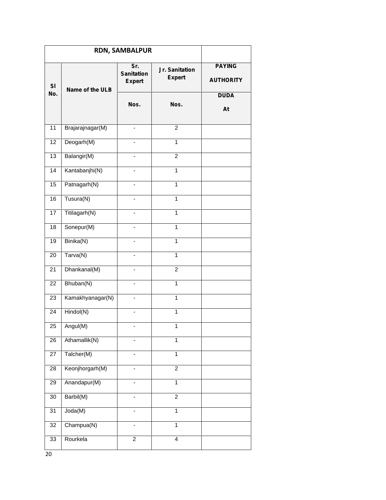|                 | <b>RDN, SAMBALPUR</b> |                                           |                                 |                                                  |
|-----------------|-----------------------|-------------------------------------------|---------------------------------|--------------------------------------------------|
| SI<br>No.       | Name of the ULB       | Sr.<br><b>Sanitation</b><br><b>Expert</b> | Jr. Sanitation<br><b>Expert</b> | <b>PAYING</b><br><b>AUTHORITY</b><br><b>DUDA</b> |
|                 |                       | Nos.                                      | Nos.                            | At                                               |
| 11              | Brajarajnagar(M)      |                                           | $\overline{c}$                  |                                                  |
| 12              | Deogarh(M)            |                                           | $\mathbf{1}$                    |                                                  |
| 13              | Balangir(M)           |                                           | $\overline{2}$                  |                                                  |
| 14              | Kantabanjhi(N)        |                                           | $\mathbf{1}$                    |                                                  |
| 15              | Patnagarh(N)          |                                           | $\mathbf{1}$                    |                                                  |
| 16              | Tusura(N)             |                                           | $\mathbf{1}$                    |                                                  |
| 17              | Titilagarh(N)         | -                                         | $\mathbf{1}$                    |                                                  |
| 18              | Sonepur(M)            | $\blacksquare$                            | $\mathbf{1}$                    |                                                  |
| 19              | Binika(N)             |                                           | $\overline{1}$                  |                                                  |
| 20              | Tarva(N)              |                                           | $\mathbf{1}$                    |                                                  |
| 21              | Dhankanal(M)          |                                           | $\overline{c}$                  |                                                  |
| 22              | Bhuban(N)             |                                           | $\mathbf{1}$                    |                                                  |
| 23              | Kamakhyanagar(N)      |                                           | $\mathbf{1}$                    |                                                  |
| 24              | Hindol(N)             | $\overline{\phantom{a}}$                  | $\mathbf{1}$                    |                                                  |
| 25              | Angul(M)              |                                           | 1                               |                                                  |
| 26              | Athamallik(N)         |                                           | $\mathbf{1}$                    |                                                  |
| $\overline{27}$ | Talcher(M)            |                                           | $\overline{1}$                  |                                                  |
| 28              | Keonjhorgarh(M)       |                                           | $\overline{2}$                  |                                                  |
| 29              | Anandapur(M)          |                                           | $\overline{1}$                  |                                                  |
| $30\,$          | Barbil(M)             | $\qquad \qquad \blacksquare$              | $\overline{2}$                  |                                                  |
| 31              | Joda(M)               |                                           | $\mathbf{1}$                    |                                                  |
| 32              | Champua(N)            | $\overline{\phantom{a}}$                  | $\mathbf{1}$                    |                                                  |
| 33              | Rourkela              | $\overline{c}$                            | $\overline{4}$                  |                                                  |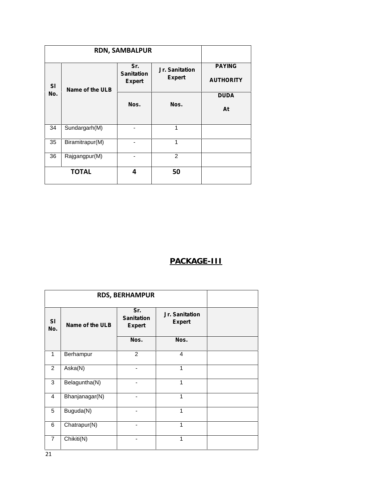|                  | <b>RDN, SAMBALPUR</b> |                                           |                                 |                                   |  |
|------------------|-----------------------|-------------------------------------------|---------------------------------|-----------------------------------|--|
| <b>SI</b><br>No. | Name of the ULB       | Sr.<br><b>Sanitation</b><br><b>Expert</b> | Jr. Sanitation<br><b>Expert</b> | <b>PAYING</b><br><b>AUTHORITY</b> |  |
|                  |                       | Nos.<br>Nos.                              | <b>DUDA</b><br>At               |                                   |  |
| 34               | Sundargarh(M)         |                                           | 1                               |                                   |  |
| 35               | Biramitrapur(M)       |                                           | 1                               |                                   |  |
| 36               | Rajgangpur(M)         |                                           | 2                               |                                   |  |
|                  | <b>TOTAL</b>          | 4                                         | 50                              |                                   |  |

### **PACKAGE-III**

|                |                 | <b>RDS, BERHAMPUR</b>                     |                                 |  |
|----------------|-----------------|-------------------------------------------|---------------------------------|--|
| SI<br>No.      | Name of the ULB | Sr.<br><b>Sanitation</b><br><b>Expert</b> | Jr. Sanitation<br><b>Expert</b> |  |
|                |                 | Nos.                                      | Nos.                            |  |
| 1              | Berhampur       | $\overline{2}$                            | 4                               |  |
| 2              | Aska(N)         | -                                         | 1                               |  |
| 3              | Belaguntha(N)   |                                           | 1                               |  |
| $\overline{4}$ | Bhanjanagar(N)  |                                           | 1                               |  |
| 5              | Buguda(N)       | -                                         | 1                               |  |
| 6              | Chatrapur(N)    |                                           | 1                               |  |
| $\overline{7}$ | Chikiti(N)      |                                           | 1                               |  |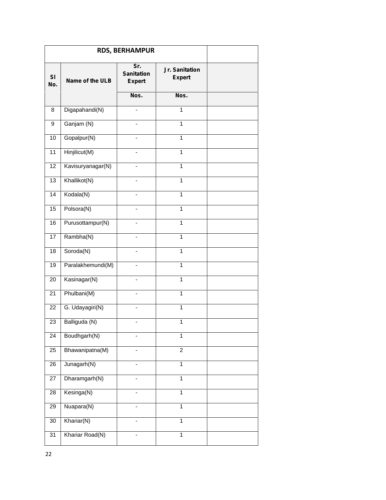|           | <b>RDS, BERHAMPUR</b> |                                           |                                 |  |
|-----------|-----------------------|-------------------------------------------|---------------------------------|--|
| SI<br>No. | Name of the ULB       | Sr.<br><b>Sanitation</b><br><b>Expert</b> | Jr. Sanitation<br><b>Expert</b> |  |
|           |                       | Nos.                                      | Nos.                            |  |
| 8         | Digapahandi(N)        |                                           | 1                               |  |
| 9         | Ganjam (N)            |                                           | $\mathbf{1}$                    |  |
| 10        | Gopalpur(N)           | $\overline{\phantom{0}}$                  | 1                               |  |
| 11        | Hinjilicut(M)         | $\qquad \qquad \blacksquare$              | 1                               |  |
| 12        | Kavisuryanagar(N)     | $\overline{\phantom{0}}$                  | $\overline{1}$                  |  |
| 13        | Khallikot(N)          |                                           | 1                               |  |
| 14        | Kodala(N)             | $\overline{\phantom{0}}$                  | 1                               |  |
| 15        | Polsora(N)            | ٠                                         | 1                               |  |
| 16        | Purusottampur(N)      | ٠                                         | 1                               |  |
| 17        | Rambha(N)             |                                           | 1                               |  |
| 18        | Soroda(N)             | $\overline{\phantom{0}}$                  | $\mathbf{1}$                    |  |
| 19        | Paralakhemundi(M)     | $\qquad \qquad \blacksquare$              | $\mathbf{1}$                    |  |
| 20        | Kasinagar(N)          | $\overline{\phantom{0}}$                  | $\overline{1}$                  |  |
| 21        | Phulbani(M)           | $\blacksquare$                            | $\mathbf{1}$                    |  |
| 22        | G. Udayagiri(N)       | $\overline{\phantom{0}}$                  | $\mathbf{1}$                    |  |
| 23        | Balliguda (N)         |                                           | $\mathbf 1$                     |  |
| 24        | Boudhgarh(N)          |                                           | $\mathbf 1$                     |  |
| 25        | Bhawanipatna(M)       |                                           | $\overline{2}$                  |  |
| 26        | Junagarh(N)           |                                           | $\mathbf{1}$                    |  |
| 27        | Dharamgarh(N)         |                                           | 1                               |  |
| 28        | Kesinga(N)            |                                           | $\overline{1}$                  |  |
| 29        | Nuapara(N)            | ÷                                         | $\mathbf{1}$                    |  |
| 30        | Khariar(N)            | $\overline{\phantom{0}}$                  | $\mathbf{1}$                    |  |
| 31        | Khariar Road(N)       |                                           | 1                               |  |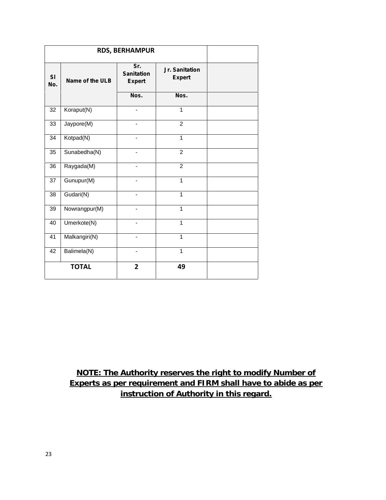| <b>RDS, BERHAMPUR</b> |                 |                                           |                                 |  |
|-----------------------|-----------------|-------------------------------------------|---------------------------------|--|
| SI<br>No.             | Name of the ULB | Sr.<br><b>Sanitation</b><br><b>Expert</b> | Jr. Sanitation<br><b>Expert</b> |  |
|                       |                 | Nos.                                      | Nos.                            |  |
| 32                    | Koraput(N)      |                                           | 1                               |  |
| 33                    | Jaypore(M)      |                                           | $\overline{2}$                  |  |
| 34                    | Kotpad(N)       | $\overline{\phantom{a}}$                  | $\mathbf{1}$                    |  |
| 35                    | Sunabedha(N)    | $\overline{\phantom{0}}$                  | $\overline{2}$                  |  |
| 36                    | Raygada(M)      |                                           | $\overline{2}$                  |  |
| 37                    | Gunupur(M)      |                                           | 1                               |  |
| 38                    | Gudari(N)       |                                           | $\mathbf{1}$                    |  |
| 39                    | Nowrangpur(M)   |                                           | $\mathbf{1}$                    |  |
| 40                    | Umerkote(N)     |                                           | 1                               |  |
| $\overline{41}$       | Malkangiri(N)   |                                           | 1                               |  |
| 42                    | Balimela(N)     |                                           | $\mathbf{1}$                    |  |
|                       | <b>TOTAL</b>    | $\overline{2}$                            | 49                              |  |

**NOTE: The Authority reserves the right to modify Number of Experts as per requirement and FIRM shall have to abide as per instruction of Authority in this regard.**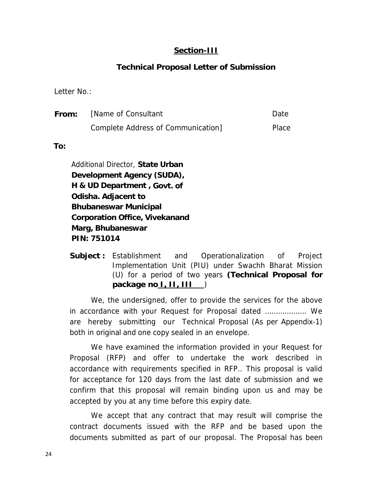#### **Section-III**

### **Technical Proposal Letter of Submission**

Letter No.:

| From: | [Name of Consultant]               | Date. |
|-------|------------------------------------|-------|
|       | Complete Address of Communication] | Place |

**To:**

Additional Director, **State Urban Development Agency (SUDA), H & UD Department , Govt. of Odisha. Adjacent to Bhubaneswar Municipal Corporation Office, Vivekanand Marg, Bhubaneswar PIN: 751014**

**Subject :** Establishment and Operationalization of Project Implementation Unit (PIU) under Swachh Bharat Mission (U) for a period of two years **(Technical Proposal for package no I, II, III** )

We, the undersigned, offer to provide the services for the above in accordance with your Request for Proposal dated ………………. We are hereby submitting our Technical Proposal (As per Appendix-1) both in original and one copy sealed in an envelope.

We have examined the information provided in your Request for Proposal (RFP) and offer to undertake the work described in accordance with requirements specified in RFP.. This proposal is valid for acceptance for 120 days from the last date of submission and we confirm that this proposal will remain binding upon us and may be accepted by you at any time before this expiry date.

We accept that any contract that may result will comprise the contract documents issued with the RFP and be based upon the documents submitted as part of our proposal. The Proposal has been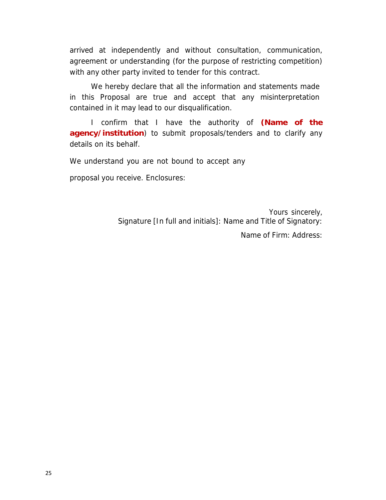arrived at independently and without consultation, communication, agreement or understanding (for the purpose of restricting competition) with any other party invited to tender for this contract.

We hereby declare that all the information and statements made in this Proposal are true and accept that any misinterpretation contained in it may lead to our disqualification.

I confirm that I have the authority of *(Name of the agency/institution*) to submit proposals/tenders and to clarify any details on its behalf.

We understand you are not bound to accept any

proposal you receive. Enclosures:

Yours sincerely, Signature [In full and initials]: Name and Title of Signatory:

Name of Firm: Address: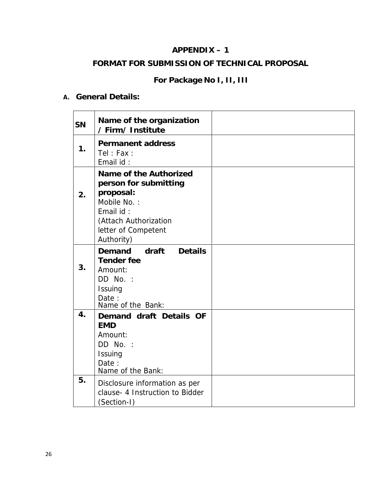### **APPENDIX – 1**

### **FORMAT FOR SUBMISSION OF TECHNICAL PROPOSAL**

### **For Package No I, II, III**

### **A. General Details:**

| SN | Name of the organization<br>/Firm/Institute                                                                                                            |  |
|----|--------------------------------------------------------------------------------------------------------------------------------------------------------|--|
| 1. | Permanent address<br>Tel : Fax :<br>Email id:                                                                                                          |  |
| 2. | Name of the Authorized<br>person for submitting<br>proposal:<br>Mobile No.:<br>Email id:<br>(Attach Authorization<br>letter of Competent<br>Authority) |  |
| 3. | draft<br>Demand<br>Details<br>Tender fee<br>Amount:<br>DD No. :<br>Issuing<br>Date:<br>Name of the Bank:                                               |  |
| 4. | Demand draft Details OF<br><b>EMD</b><br>Amount:<br>DD No. :<br>Issuing<br>Date:<br>Name of the Bank:                                                  |  |
| 5. | Disclosure information as per<br>clause- 4 Instruction to Bidder<br>(Section-I)                                                                        |  |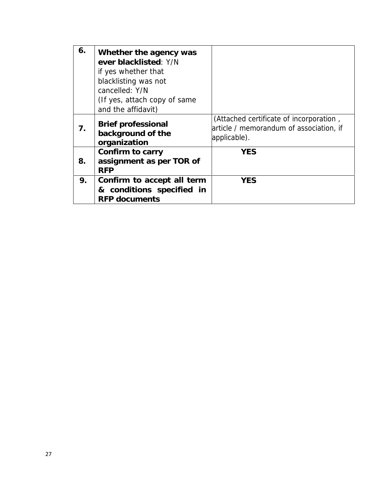| 6. | Whether the agency was<br>ever blacklisted: Y/N<br>if yes whether that<br>blacklisting was not<br>cancelled: Y/N<br>(If yes, attach copy of same<br>and the affidavit) |                                                                                                    |
|----|------------------------------------------------------------------------------------------------------------------------------------------------------------------------|----------------------------------------------------------------------------------------------------|
| 7. | Brief professional<br>background of the<br>organization                                                                                                                | (Attached certificate of incorporation,<br>article / memorandum of association, if<br>applicable). |
| 8. | Confirm to carry<br>assignment as per TOR of<br><b>RFP</b>                                                                                                             | <b>YES</b>                                                                                         |
| 9. | Confirm to accept all term<br>& conditions specified in<br><b>RFP</b> documents                                                                                        | <b>YES</b>                                                                                         |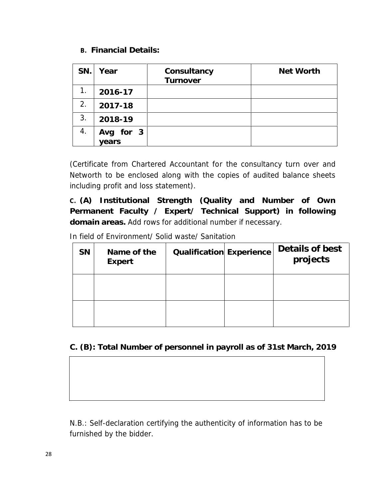### **B. Financial Details:**

| SN. | Year      | Consultancy<br>Turnover | Net Worth |
|-----|-----------|-------------------------|-----------|
| 1.  | 2016-17   |                         |           |
| 2.  | 2017-18   |                         |           |
| 3.  | 2018-19   |                         |           |
| 4.  | Avg for 3 |                         |           |
|     | years     |                         |           |

(Certificate from Chartered Accountant for the consultancy turn over and Networth to be enclosed along with the copies of audited balance sheets including profit and loss statement).

**C. (A) Institutional Strength (Quality and Number of Own Permanent Faculty / Expert/ Technical Support) in following domain areas.** Add rows for additional number if necessary.

In field of Environment/ Solid waste/ Sanitation

| <b>SN</b> | Name of the<br>Expert | Qualification Experience | Details of best<br>projects |  |
|-----------|-----------------------|--------------------------|-----------------------------|--|
|           |                       |                          |                             |  |
|           |                       |                          |                             |  |

**C. (B): Total Number of personnel in payroll as of 31st March, 2019**

*N.B.: Self-declaration certifying the authenticity of information has to be furnished by the bidder.*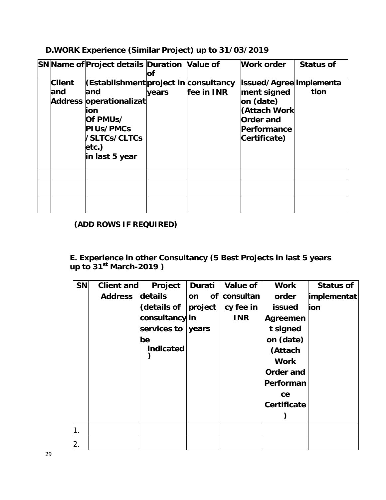**D.WORK Experience (Similar Project) up to 31/03/2019**

|               | SN Name of Project details Duration Value of                                                                                                        | оf    |            | Work order                                                                                                      | Status of |
|---------------|-----------------------------------------------------------------------------------------------------------------------------------------------------|-------|------------|-----------------------------------------------------------------------------------------------------------------|-----------|
| Client<br>and | (Establishment project in consultancy<br>land<br>Address operationalizat<br>ion<br>Of PMUs/<br>PIUs/PMCs<br>/SLTCs/CLTCs<br>etc.)<br>in last 5 year | years | fee in INR | issued/Agree implementa<br>ment signed<br>on (date)<br>(Attach Work<br>Order and<br>Performance<br>Certificate) | tion      |
|               |                                                                                                                                                     |       |            |                                                                                                                 |           |

### **(ADD ROWS IF REQUIRED)**

**E. Experience in other Consultancy (5 Best Projects in last 5 years up to 31st March-2019 )**

| SN | Client and | Project        | Durati   | Value of   | Work        | Status of   |
|----|------------|----------------|----------|------------|-------------|-------------|
|    | Address    | details        | 0f<br>on | consultan  | order       | implementat |
|    |            | (details of    | project  | cy fee in  | issued      | ion         |
|    |            | consultancy in |          | <b>INR</b> | Agreemen    |             |
|    |            | services to    | years    |            | t signed    |             |
|    |            | be             |          |            | on (date)   |             |
|    |            | indicated      |          |            | (Attach     |             |
|    |            |                |          |            | Work        |             |
|    |            |                |          |            | Order and   |             |
|    |            |                |          |            | Performan   |             |
|    |            |                |          |            | ce          |             |
|    |            |                |          |            | Certificate |             |
|    |            |                |          |            |             |             |
| 1. |            |                |          |            |             |             |
| 2. |            |                |          |            |             |             |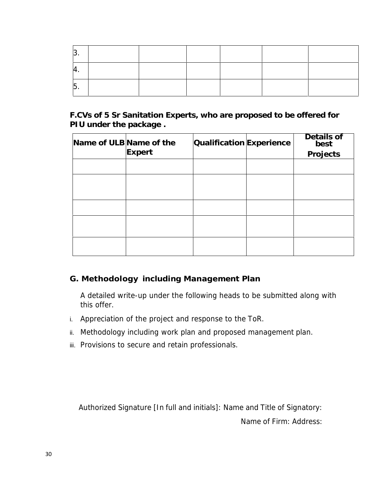| ັ   |  |  |  |
|-----|--|--|--|
| . . |  |  |  |
| l v |  |  |  |

**F.CVs of 5 Sr Sanitation Experts, who are proposed to be offered for PIU under the package .**

| Name of ULB Name of the |        | Qualification Experience | Details of<br>best |
|-------------------------|--------|--------------------------|--------------------|
|                         | Expert |                          | Projects           |
|                         |        |                          |                    |
|                         |        |                          |                    |
|                         |        |                          |                    |
|                         |        |                          |                    |
|                         |        |                          |                    |
|                         |        |                          |                    |
|                         |        |                          |                    |
|                         |        |                          |                    |

### **G. Methodology including Management Plan**

A detailed write-up under the following heads to be submitted along with this offer.

- i. Appreciation of the project and response to the ToR.
- ii. Methodology including work plan and proposed management plan.
- iii. Provisions to secure and retain professionals.

Authorized Signature [In full and initials]: Name and Title of Signatory:

Name of Firm: Address: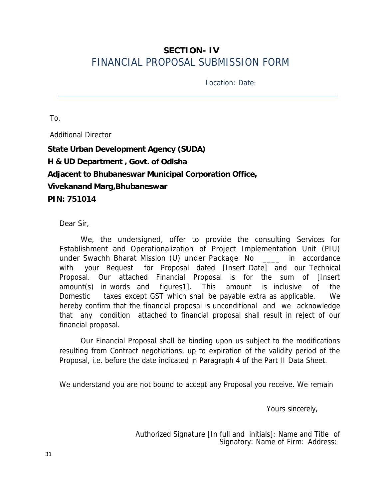### **SECTION- IV** FINANCIAL PROPOSAL SUBMISSION FORM

Location: Date:

To,

Additional Director **State Urban Development Agency (SUDA) H & UD Department , Govt. of Odisha Adjacent to Bhubaneswar Municipal Corporation Office, Vivekanand Marg,Bhubaneswar PIN: 751014**

Dear Sir,

We, the undersigned, offer to provide the consulting Services for Establishment and Operationalization of Project Implementation Unit (PIU) under Swachh Bharat Mission (U) under Package No \_\_\_\_ in accordance with your Request for Proposal dated [Insert Date] and our Technical Proposal. Our attached Financial Proposal is for the sum of [Insert amount(s) in words and figures1]. This amount is inclusive of the Domestic taxes except GST which shall be payable extra as applicable. We hereby confirm that the financial proposal is unconditional and we acknowledge that any condition attached to financial proposal shall result in reject of our financial proposal.

Our Financial Proposal shall be binding upon us subject to the modifications resulting from Contract negotiations, up to expiration of the validity period of the Proposal, i.e. before the date indicated in Paragraph 4 of the Part II Data Sheet.

We understand you are not bound to accept any Proposal you receive. We remain

Yours sincerely,

Authorized Signature [In full and initials]: Name and Title of Signatory: Name of Firm: Address: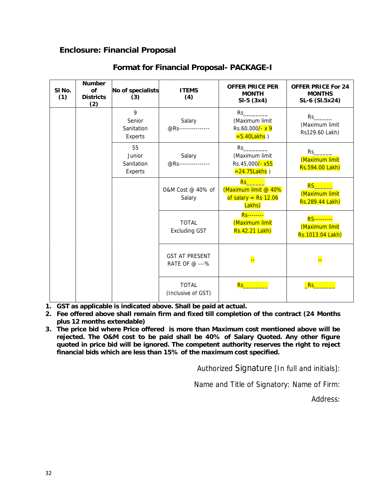### **Enclosure: Financial Proposal**

| SI No.<br>(1) | Number<br><b>of</b><br><b>Districts</b> | No of specialists<br>(3)              | <b>ITEMS</b><br>(4)                     | OFFER PRICE PER<br><b>MONTH</b><br>$SI-5(3x4)$                              | OFFER PRICE For 24<br><b>MONTHS</b><br>SL-6 (SI.5x24)    |
|---------------|-----------------------------------------|---------------------------------------|-----------------------------------------|-----------------------------------------------------------------------------|----------------------------------------------------------|
|               | (2)                                     | 9<br>Senior<br>Sanitation<br>Experts  | Salary<br>@RS----------------           | $Rs$ and $s = 1$<br>(Maximum limit<br>Rs.60,000/- x 9<br>$= 5.40$ Lakhs)    | Rs<br>(Maximum limit<br>Rs129.60 Lakh)                   |
|               |                                         | 55<br>Junior<br>Sanitation<br>Experts | Salary<br>@Rs ---------------           | (Maximum limit<br>Rs.45,000/- x55<br>$= 24.75$ Lakhs $)$                    | Rs<br>(Maximum limit<br>Rs.594.00 Lakh)                  |
|               |                                         |                                       | O&M Cost @ 40% of<br>Salary             | Rs <sub>1</sub><br>(Maximum limit @ 40%<br>of salary = $Rs$ 12.06<br>Lakhs) | <b>RS</b><br>(Maximum limit<br>Rs.289.44 Lakh)           |
|               |                                         |                                       | <b>TOTAL</b><br><b>Excluding GST</b>    | <b>Rs--------</b><br>(Maximum limit<br>Rs.42.21 Lakh)                       | <b>RS---------</b><br>(Maximum limit<br>Rs.1013.04 Lakh) |
|               |                                         |                                       | <b>GST AT PRESENT</b><br>RATE OF @ ---% | Ŀ.                                                                          | Ļ.                                                       |
|               |                                         |                                       | <b>TOTAL</b><br>(Inclusive of GST)      | Rs                                                                          | Rs                                                       |

### **Format for Financial Proposal- PACKAGE-I**

**1. GST as applicable is indicated above. Shall be paid at actual.**

**2. Fee offered above shall remain firm and fixed till completion of the contract (24 Months plus 12 months extendable)**

**3. The price bid where Price offered is more than Maximum cost mentioned above will be rejected. The O&M cost to be paid shall be 40% of Salary Quoted. Any other figure quoted in price bid will be ignored. The competent authority reserves the right to reject financial bids which are less than 15% of the maximum cost specified.**

Authorized Signature [In full and initials]:

Name and Title of Signatory: Name of Firm:

Address: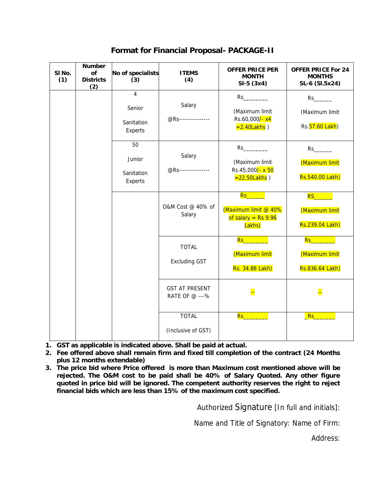| SI No.<br>(1) | Number<br>of<br><b>Districts</b><br>(2) | No of specialists<br>(3)                          | <b>ITEMS</b><br>(4)                     | OFFER PRICE PER<br><b>MONTH</b><br>$SI-5(3x4)$                                      | OFFER PRICE For 24<br><b>MONTHS</b><br>SL-6 (SI.5x24) |
|---------------|-----------------------------------------|---------------------------------------------------|-----------------------------------------|-------------------------------------------------------------------------------------|-------------------------------------------------------|
|               |                                         | $\overline{4}$<br>Senior<br>Sanitation<br>Experts | Salary<br>@Rs ----------------          | $Rs$ and $\sim$<br>(Maximum limit<br>Rs.60,000/-x4<br>$=2.40$ Lakhs)                | (Maximum limit<br>Rs. 57.60 Lakh)                     |
|               |                                         | 50<br>Junior<br>Sanitation<br>Experts             | Salary<br>@Rs----------------           | (Maximum limit<br>Rs.45,000/- x 50<br>$=22.50$ Lakhs)                               | $Rs$ and $\sim$<br>(Maximum limit<br>Rs.540.00 Lakh)  |
|               |                                         |                                                   | O&M Cost @ 40% of<br>Salary             | <mark>Rs_________</mark><br>(Maximum limit @ 40%<br>of salary = $Rs$ 9.96<br>Lakhs) | RS_______<br>(Maximum limit<br>Rs.239.04 Lakh)        |
|               |                                         |                                                   | <b>TOTAL</b><br><b>Excluding GST</b>    | Rs_________<br>(Maximum limit<br>Rs. 34.86 Lakh)                                    | Rs___________<br>(Maximum limit<br>Rs.836.64 Lakh)    |
|               |                                         |                                                   | <b>GST AT PRESENT</b><br>RATE OF @ ---% | Ļ.                                                                                  | <mark>ee</mark>                                       |
|               |                                         |                                                   | <b>TOTAL</b><br>(Inclusive of GST)      | Rs                                                                                  | Rs                                                    |

**Format for Financial Proposal- PACKAGE-II**

**1. GST as applicable is indicated above. Shall be paid at actual.**

**2. Fee offered above shall remain firm and fixed till completion of the contract (24 Months plus 12 months extendable)**

**3. The price bid where Price offered is more than Maximum cost mentioned above will be rejected. The O&M cost to be paid shall be 40% of Salary Quoted. Any other figure quoted in price bid will be ignored. The competent authority reserves the right to reject financial bids which are less than 15% of the maximum cost specified.**

Authorized Signature [In full and initials]:

Name and Title of Signatory: Name of Firm:

Address: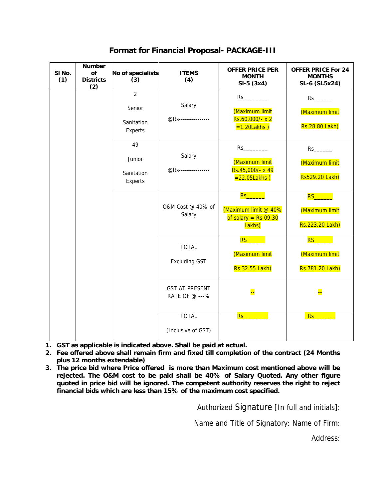| SI No.<br>(1) | Number<br>of<br><b>Districts</b><br>(2) | No of specialists<br>(3)                          | <b>ITEMS</b><br>(4)                     | OFFER PRICE PER<br><b>MONTH</b><br>$SI-5(3x4)$                          | OFFER PRICE For 24<br><b>MONTHS</b><br>SL-6 (SI.5x24)        |
|---------------|-----------------------------------------|---------------------------------------------------|-----------------------------------------|-------------------------------------------------------------------------|--------------------------------------------------------------|
|               |                                         | $\overline{2}$<br>Senior<br>Sanitation<br>Experts | Salary<br>@Rs----------------           | $Rs$ and $\sim$<br>(Maximum limit<br>Rs.60,000/- x 2<br>$=1.20$ Lakhs)  | (Maximum limit<br>Rs.28.80 Lakh)                             |
|               |                                         | 49<br>Junior<br>Sanitation<br>Experts             | Salary<br>@Rs---------------            | (Maximum limit<br>Rs.45,000/- x 49<br>$= 22.05$ Lakhs)                  | $Rs$ and $\sim$<br>(Maximum limit<br>Rs529.20 Lakh)          |
|               |                                         |                                                   | O&M Cost @ 40% of<br>Salary             | Rs_________<br>(Maximum limit @ 40%<br>of salary = $Rs$ 09.30<br>Lakhs) | <mark>RS________</mark><br>(Maximum limit<br>Rs.223.20 Lakh) |
|               |                                         |                                                   | <b>TOTAL</b><br><b>Excluding GST</b>    | $RS_$<br>(Maximum limit<br>Rs.32.55 Lakh)                               | RS________<br>(Maximum limit<br>Rs.781.20 Lakh)              |
|               |                                         |                                                   | <b>GST AT PRESENT</b><br>RATE OF @ ---% | <mark></mark>                                                           | <mark>ee</mark>                                              |
|               |                                         |                                                   | <b>TOTAL</b><br>(Inclusive of GST)      | <mark>Rs__________</mark>                                               | Rs                                                           |

**Format for Financial Proposal- PACKAGE-III**

**1. GST as applicable is indicated above. Shall be paid at actual.**

**2. Fee offered above shall remain firm and fixed till completion of the contract (24 Months plus 12 months extendable)**

**3. The price bid where Price offered is more than Maximum cost mentioned above will be rejected. The O&M cost to be paid shall be 40% of Salary Quoted. Any other figure quoted in price bid will be ignored. The competent authority reserves the right to reject financial bids which are less than 15% of the maximum cost specified.**

Authorized Signature [In full and initials]:

Name and Title of Signatory: Name of Firm:

Address: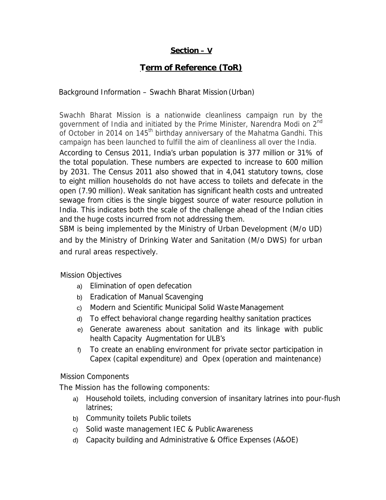### **Section – V**

### **Term of Reference (ToR)**

#### Background Information – Swachh Bharat Mission(Urban)

Swachh Bharat Mission is a nationwide cleanliness campaign run by the government of India and initiated by the Prime Minister, Narendra Modi on 2<sup>nd</sup> of October in 2014 on 145<sup>th</sup> birthday anniversary of the Mahatma Gandhi. This campaign has been launched to fulfill the aim of cleanliness all over the India. According to Census 2011, India's urban population is 377 million or 31% of the total population. These numbers are expected to increase to 600 million by 2031. The Census 2011 also showed that in 4,041 statutory towns, close to eight million households do not have access to toilets and defecate in the open (7.90 million). Weak sanitation has significant health costs and untreated sewage from cities is the single biggest source of water resource pollution in India. This indicates both the scale of the challenge ahead of the Indian cities and the huge costs incurred from not addressing them.

SBM is being implemented by the Ministry of Urban Development (M/o UD) and by the Ministry of Drinking Water and Sanitation (M/o DWS) for urban and rural areas respectively.

Mission Objectives

- a) Elimination of open defecation
- b) Eradication of Manual Scavenging
- c) Modern and Scientific Municipal Solid WasteManagement
- d) To effect behavioral change regarding healthy sanitation practices
- e) Generate awareness about sanitation and its linkage with public health Capacity Augmentation for ULB's
- f) To create an enabling environment for private sector participation in Capex (capital expenditure) and Opex (operation and maintenance)

Mission Components

The Mission has the following components:

- a) Household toilets, including conversion of insanitary latrines into pour-flush latrines;
- b) Community toilets Public toilets
- c) Solid waste management IEC & PublicAwareness
- d) Capacity building and Administrative & Office Expenses (A&OE)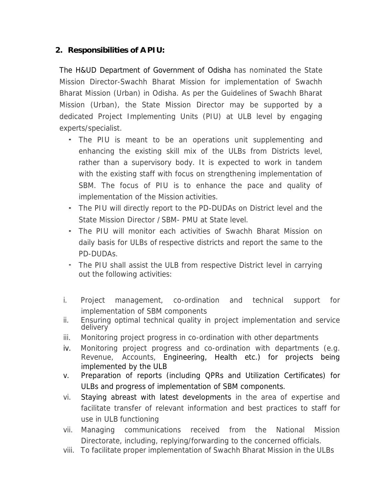### **2. Responsibilities of A PIU:**

The H&UD Department of Government of Odisha has nominated the State Mission Director-Swachh Bharat Mission for implementation of Swachh Bharat Mission (Urban) in Odisha. As per the Guidelines of Swachh Bharat Mission (Urban), the State Mission Director may be supported by a dedicated Project Implementing Units (PIU) at ULB level by engaging experts/specialist.

- The PIU is meant to be an operations unit supplementing and enhancing the existing skill mix of the ULBs from Districts level, rather than a supervisory body. It is expected to work in tandem with the existing staff with focus on strengthening implementation of SBM. The focus of PIU is to enhance the pace and quality of implementation of the Mission activities.
- The PIU will directly report to the PD-DUDAs on District level and the State Mission Director / SBM- PMU at State level.
- The PIU will monitor each activities of Swachh Bharat Mission on daily basis for ULBs of respective districts and report the same to the PD-DUDAs.
- The PIU shall assist the ULB from respective District level in carrying out the following activities:
- i. Project management, co-ordination and technical support for implementation of SBM components
- ii. Ensuring optimal technical quality in project implementation and service delivery
- iii. Monitoring project progress in co-ordination with other departments
- iv. Monitoring project progress and co-ordination with departments (e.g. Revenue, Accounts, Engineering, Health etc.) for projects being implemented by the ULB
- v. Preparation of reports (including QPRs and Utilization Certificates) for ULBs and progress of implementation of SBM components.
- vi. Staying abreast with latest developments in the area of expertise and facilitate transfer of relevant information and best practices to staff for use in ULB functioning
- vii. Managing communications received from the National Mission Directorate, including, replying/forwarding to the concerned officials.
- viii. To facilitate proper implementation of Swachh Bharat Mission in the ULBs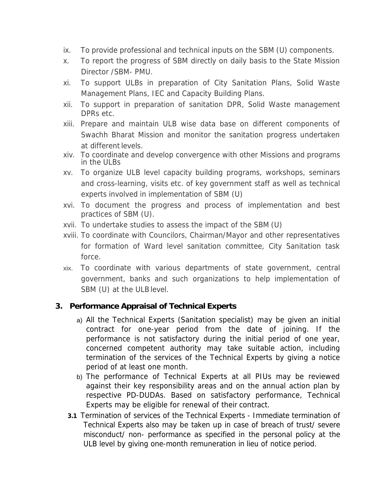- ix. To provide professional and technical inputs on the SBM (U) components.
- x. To report the progress of SBM directly on daily basis to the State Mission Director /SBM- PMU.
- xi. To support ULBs in preparation of City Sanitation Plans, Solid Waste Management Plans, IEC and Capacity Building Plans.
- xii. To support in preparation of sanitation DPR, Solid Waste management DPRs etc.
- xiii. Prepare and maintain ULB wise data base on different components of Swachh Bharat Mission and monitor the sanitation progress undertaken at different levels.
- xiv. To coordinate and develop convergence with other Missions and programs in the ULBs
- xv. To organize ULB levelcapacity building programs, workshops, seminars and cross-learning, visits etc. of key government staff as well as technical experts involved in implementation of SBM (U)
- xvi. To document the progress and process of implementation and best practices of SBM (U).
- xvii. To undertake studies to assess the impact of the SBM (U)
- xviii. To coordinate with Councilors, Chairman/Mayor and other representatives for formation of Ward level sanitation committee, City Sanitation task force.
- xix. To coordinate with various departments of state government, central government, banks and such organizations to help implementation of SBM (U) at the ULB level.

#### **3. Performance Appraisal of Technical Experts**

- a) All the Technical Experts (Sanitation specialist) may be given an initial contract for one-year period from the date of joining. If the performance is not satisfactory during the initial period of one year, concerned competent authority may take suitable action, including termination of the services of the Technical Experts by giving a notice period of at least one month.
- b) The performance of Technical Experts at all PIUs may be reviewed against their key responsibility areas and on the annual action plan by respective PD-DUDAs. Based on satisfactory performance, Technical Experts may be eligible for renewal of their contract.
- **3.1** Termination of services of the Technical Experts Immediate termination of Technical Experts also may be taken up in case of breach of trust/ severe misconduct/ non- performance as specified in the personal policy at the ULB level by giving one-month remuneration in lieu of notice period.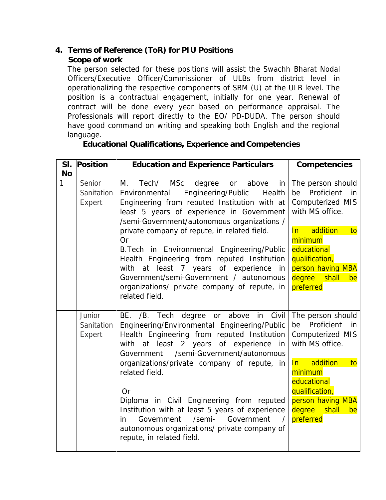- **4. Terms of Reference (ToR) for PIU Positions**
	- **Scope of work**

The person selected for these positions will assist the Swachh Bharat Nodal Officers/Executive Officer/Commissioner of ULBs from district level in operationalizing the respective components of SBM (U) at the ULB level. The position is a contractual engagement, initially for one year. Renewal of contract will be done every year based on performance appraisal. The Professionals will report directly to the EO/ PD-DUDA. The person should have good command on writing and speaking both English and the regional language.

**Educational Qualifications, Experience and Competencies**

| Position<br>SI.                     | <b>Education and Experience Particulars</b>                                                                                                                                                                                                                                                                                                                                                                                                                                                                                                                         | Competencies                                                                                                                                                                                                             |
|-------------------------------------|---------------------------------------------------------------------------------------------------------------------------------------------------------------------------------------------------------------------------------------------------------------------------------------------------------------------------------------------------------------------------------------------------------------------------------------------------------------------------------------------------------------------------------------------------------------------|--------------------------------------------------------------------------------------------------------------------------------------------------------------------------------------------------------------------------|
| <b>No</b>                           |                                                                                                                                                                                                                                                                                                                                                                                                                                                                                                                                                                     |                                                                                                                                                                                                                          |
| 1<br>Senior<br>Sanitation<br>Expert | Tech/<br><b>MSc</b><br>Μ.<br>degree<br>above<br>or<br>in<br>Engineering/Public<br>Health<br>Environmental<br>Engineering from reputed Institution with at<br>least 5 years of experience in Government<br>/semi-Government/autonomous organizations /<br>private company of repute, in related field.<br>0r<br>B. Tech in Environmental Engineering/Public<br>Health Engineering from reputed Institution<br>at least 7 years of experience in<br>with<br>Government/semi-Government / autonomous<br>organizations/ private company of repute, in<br>related field. | The person should<br>be Proficient<br>in in<br>Computerized MIS<br>with MS office.<br>addition<br>ln<br>to<br>minimum<br>educational<br>qualification,<br>person having MBA<br>degree shall<br>be<br>preferred           |
| Junior<br>Sanitation<br>Expert      | Tech<br>degree or above in Civil<br>BE.<br>$/B$ .<br>Engineering/Environmental Engineering/Public<br>Health Engineering from reputed Institution<br>with at least 2 years of experience in<br>/semi-Government/autonomous<br>Government<br>organizations/private company of repute, in<br>related field.<br><b>Or</b><br>Diploma in Civil Engineering from reputed<br>Institution with at least 5 years of experience<br>/semi-<br>Government<br>Government<br>in.<br>autonomous organizations/ private company of<br>repute, in related field.                     | The person should<br>be Proficient<br>in in<br><b>Computerized MIS</b><br>with MS office.<br>addition<br>ln<br>to<br>minimum<br>educational<br>qualification,<br>person having MBA<br>degree<br>shall<br>be<br>preferred |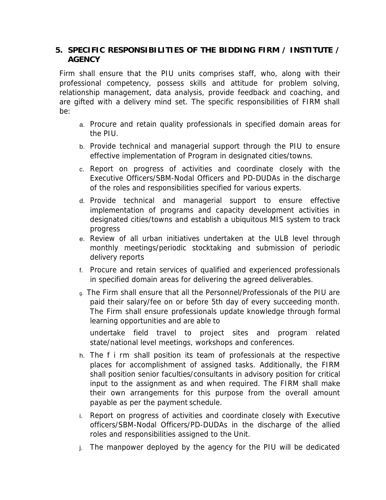#### **5. SPECIFIC RESPONSIBILITIES OF THE BIDDING FIRM / INSTITUTE / AGENCY**

Firm shall ensure that the PIU units comprises staff, who, along with their professional competency, possess skills and attitude for problem solving, relationship management, data analysis, provide feedback and coaching, and are gifted with a delivery mind set. The specific responsibilities of FIRM shall be:

- a. Procure and retain quality professionals in specified domain areas for the PIU.
- b. Provide technical and managerial support through the PIU to ensure effective implementation of Program in designated cities/towns.
- c. Report on progress of activities and coordinate closely with the Executive Officers/SBM-Nodal Officers and PD-DUDAs in the discharge of the roles and responsibilities specified for various experts.
- d. Provide technical and managerial support to ensure effective implementation of programs and capacity development activities in designated cities/towns and establish a ubiquitous MIS system to track progress
- e. Review of all urban initiatives undertaken at the ULB level through monthly meetings/periodic stocktaking and submission of periodic delivery reports
- f. Procure and retain services of qualified and experienced professionals in specified domain areas for delivering the agreed deliverables.
- g. The Firm shall ensure that all the Personnel/Professionals of the PIU are paid their salary/fee on or before 5th day of every succeeding month. The Firm shall ensure professionals update knowledge through formal learning opportunities and are able to

undertake field travel to project sites and program related state/national level meetings, workshops and conferences.

- h. The f i rm shall position its team of professionals at the respective places for accomplishment of assigned tasks. Additionally, the FIRM shall position senior faculties/consultants in advisory position for critical input to the assignment as and when required. The FIRM shall make their own arrangements for this purpose from the overall amount payable as per the payment schedule.
- i. Report on progress of activities and coordinate closely with Executive officers/SBM-Nodal Officers/PD-DUDAs in the discharge of the allied roles and responsibilities assigned to the Unit.
- j. The manpower deployed by the agency for the PIU will be dedicated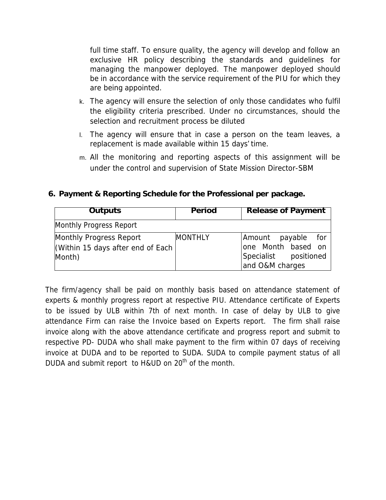full time staff. To ensure quality, the agency will develop and follow an exclusive HR policy describing the standards and guidelines for managing the manpower deployed. The manpower deployed should be in accordance with the service requirement of the PIU for which they are being appointed.

- k. The agency will ensure the selection of only those candidates who fulfil the eligibility criteria prescribed. Under no circumstances, should the selection and recruitment process be diluted
- l. The agency will ensure that in case a person on the team leaves, a replacement is made available within 15 days' time.
- m. All the monitoring and reporting aspects of this assignment will be under the control and supervision of State Mission Director-SBM

| <b>Outputs</b>                                                        | Period         | <b>Release of Payment</b>                                                               |  |
|-----------------------------------------------------------------------|----------------|-----------------------------------------------------------------------------------------|--|
| Monthly Progress Report                                               |                |                                                                                         |  |
| Monthly Progress Report<br>Within 15 days after end of Each<br>Month) | <b>MONTHLY</b> | Amount payable<br>for<br>one Month based on<br>Specialist positioned<br>and O&M charges |  |

**6. Payment & Reporting Schedule for the Professional per package.**

The firm/agency shall be paid on monthly basis based on attendance statement of experts & monthly progress report at respective PIU. Attendance certificate of Experts to be issued by ULB within 7th of next month. In case of delay by ULB to give attendance Firm can raise the Invoice based on Experts report. The firm shall raise invoice along with the above attendance certificate and progress report and submit to respective PD- DUDA who shall make payment to the firm within 07 days of receiving invoice at DUDA and to be reported to SUDA. SUDA to compile payment status of all DUDA and submit report to H&UD on 20<sup>th</sup> of the month.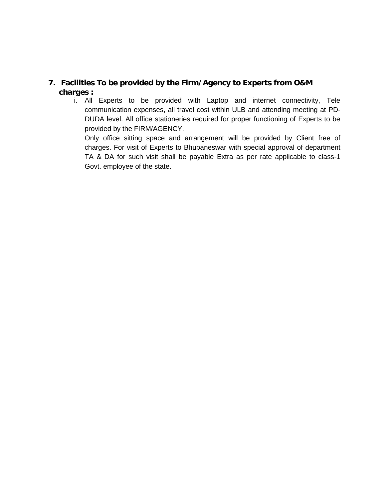### **7. Facilities To be provided by the Firm/Agency to Experts from O&M charges :**

i. All Experts to be provided with Laptop and internet connectivity, Tele communication expenses, all travel cost within ULB and attending meeting at PD- DUDA level. All office stationeries required for proper functioning of Experts to be provided by the FIRM/AGENCY.

Only office sitting space and arrangement will be provided by Client free of charges. For visit of Experts to Bhubaneswar with special approval of department TA & DA for such visit shall be payable Extra as per rate applicable to class-1 Govt. employee of the state.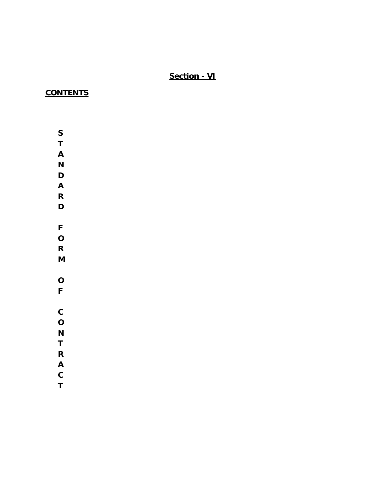## **Section - VI**

## **CONTENTS**

- **S**
- **T**
- **A**
- **N**
- **D**
- **A**
- **R**
- **D**
- 
- **F**
- **O R**
- 
- **M**
- **O**
- **F**
- 
- **C**
- **O**
- **N**
- **T**
- 
- **R**
- **A**
- **C T**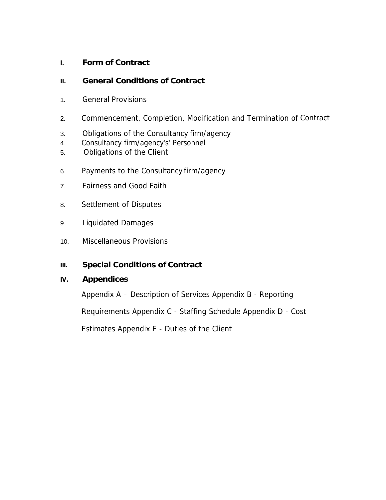- **I. Form of Contract**
- **II. General Conditions of Contract**
- 1. General Provisions
- 2. Commencement, Completion, Modification and Termination of Contract
- 3. Obligations of the Consultancy firm/agency
- 4. Consultancy firm/agency's' Personnel
- 5. Obligations of the Client
- 6. Payments to the Consultancy firm/agency
- 7. Fairness and Good Faith
- 8. Settlement of Disputes
- 9. Liquidated Damages
- 10. Miscellaneous Provisions
- **III. Special Conditions of Contract**
- **IV. Appendices**

Appendix A – Description of Services Appendix B - Reporting

Requirements Appendix C - Staffing Schedule Appendix D - Cost

Estimates Appendix E - Duties of the Client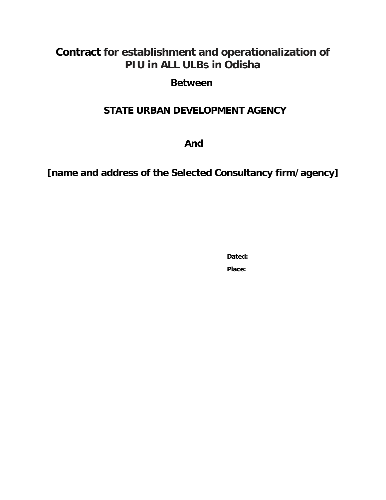# **Contract for establishment and operationalization of PIU in ALL ULBs in Odisha**

## **Between**

# **STATE URBAN DEVELOPMENT AGENCY**

**And**

**[name and address of the Selected Consultancy firm/agency]**

**Dated: Place:**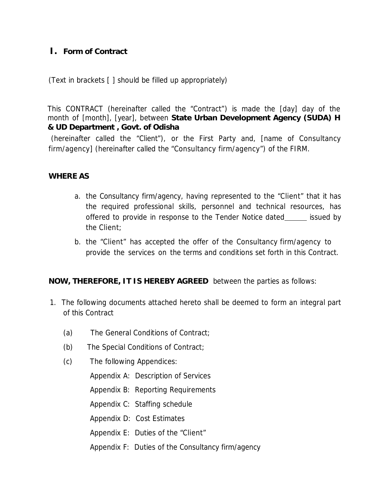## *I. Form of Contract*

(Text in brackets [ ] should be filled up appropriately)

This CONTRACT (hereinafter called the "Contract") is made the [day] day of the month of [month], [year], between **State Urban Development Agency (SUDA) H & UD Department , Govt. of Odisha**

(hereinafter called the "Client"), or the First Party and, [name of Consultancy firm/agency] (hereinafter called the "Consultancy firm/agency") of the FIRM.

#### *WHERE AS*

- a. the Consultancy firm/agency, having represented to the "Client" that it has the required professional skills, personnel and technical resources, has offered to provide in response to the Tender Notice dated issued by the Client;
- b. the "Client" has accepted the offer of the Consultancy firm/agency to provide the services on the terms and conditions set forth in this Contract.

*NOW, THEREFORE, IT IS HEREBY AGREED* between the parties as follows:

- 1. The following documents attached hereto shall be deemed to form an integral part of this Contract
	- (a) The General Conditions of Contract;
	- (b) The Special Conditions of Contract;
	- (c) The following Appendices:
		- Appendix A: Description of Services
		- Appendix B: Reporting Requirements
		- Appendix C: Staffing schedule
		- Appendix D: Cost Estimates
		- Appendix E: Duties of the "Client"
		- Appendix F: Duties of the Consultancy firm/agency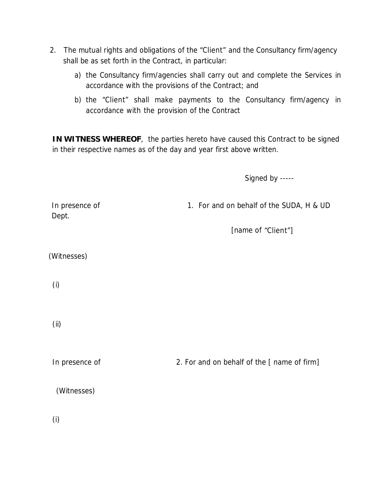- 2. The mutual rights and obligations of the "Client" and the Consultancy firm/agency shall be as set forth in the Contract, in particular:
	- a) the Consultancy firm/agencies shall carry out and complete the Services in accordance with the provisions of the Contract; and
	- b) the "Client" shall make payments to the Consultancy firm/agency in accordance with the provision of the Contract

*IN WITNESS WHEREOF*, the parties hereto have caused this Contract to be signed in their respective names as of the day and year first above written.

*Signed by -----*

In presence of 1. For and on behalf of the SUDA, H & UD Dept.

[name of "Client"]

(Witnesses)

(i)

(ii)

In presence of 2. For and on behalf of the [ name of firm]

(Witnesses)

(i)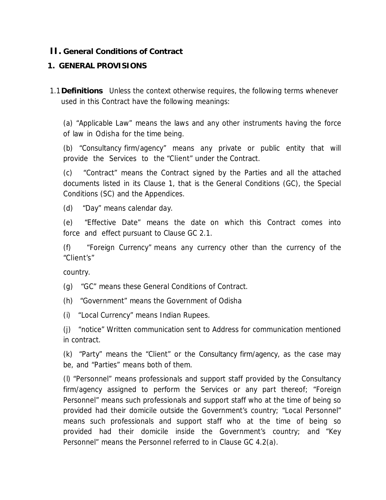### **II. General Conditions of Contract**

### **1. GENERAL PROVISIONS**

1.1**Definitions** Unless the context otherwise requires, the following terms whenever used in this Contract have the following meanings:

(a) "Applicable Law" means the laws and any other instruments having the force of law in Odisha for the time being.

(b) "Consultancy firm/agency" means any private or public entity that will provide the Services to the "Client" under the Contract.

(c) "Contract" means the Contract signed by the Parties and all the attached documents listed in its Clause 1, that is the General Conditions (GC), the Special Conditions (SC) and the Appendices.

(d) "Day" means calendar day.

(e) "Effective Date" means the date on which this Contract comes into force and effect pursuant to Clause GC 2.1.

(f) "Foreign Currency" means any currency other than the currency of the "Client's"

country.

(g) "GC" means these General Conditions of Contract.

(h) "Government" means the Government of Odisha

(i) "Local Currency" means Indian Rupees.

(j) "notice" Written communication sent to Address for communication mentioned in contract.

(k) "Party" means the "Client" or the Consultancy firm/agency, as the case may be, and "Parties" means both of them.

(l) "Personnel" means professionals and support staff provided by the Consultancy firm/agency assigned to perform the Services or any part thereof; "Foreign Personnel" means such professionals and support staff who at the time of being so provided had their domicile outside the Government's country; "Local Personnel" means such professionals and support staff who at the time of being so provided had their domicile inside the Government's country; and "Key Personnel" means the Personnel referred to in Clause GC 4.2(a).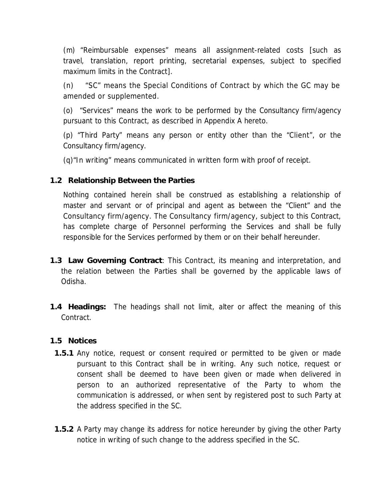(m) "Reimbursable expenses" means all assignment-related costs [such as travel, translation, report printing, secretarial expenses, subject to specified maximum limits in the Contract].

(n) "SC" means the Special Conditions of Contract by which the GC may be amended or supplemented.

(o) "Services" means the work to be performed by the Consultancy firm/agency pursuant to this Contract, as described in Appendix A hereto.

(p) "Third Party" means any person or entity other than the "Client", or the Consultancy firm/agency.

(q)"In writing" means communicated in written form with proof of receipt.

**1.2 Relationship Between the Parties**

Nothing contained herein shall be construed as establishing a relationship of master and servant or of principal and agent as between the "Client" and the Consultancy firm/agency. The Consultancy firm/agency, subject to this Contract, has complete charge of Personnel performing the Services and shall be fully responsible for the Services performed by them or on their behalf hereunder.

- **1.3 Law Governing Contract**: This Contract, its meaning and interpretation, and the relation between the Parties shall be governed by the applicable laws of Odisha.
- **1.4 Headings:** The headings shall not limit, alter or affect the meaning of this Contract.

#### **1.5 Notices**

- 1.5.1 Any notice, request or consent required or permitted to be given or made pursuant to this Contract shall be in writing. Any such notice, request or consent shall be deemed to have been given or made when delivered in person to an authorized representative of the Party to whom the communication is addressed, or when sent by registered post to such Party at the address specified in the SC.
- **1.5.2** A Party may change its address for notice hereunder by giving the other Party notice in writing of such change to the address specified in the SC.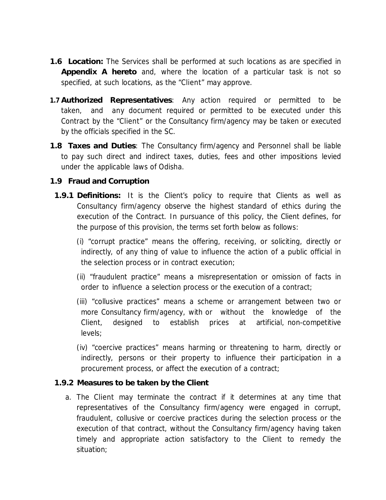- **1.6 Location:** The Services shall be performed at such locations as are specified in **Appendix A hereto** and, where the location of a particular task is not so specified, at such locations, as the "Client" may approve.
- **1.7 Authorized Representatives**: Any action required or permitted to be taken, and any document required or permitted to be executed under this Contract by the "Client" or the Consultancy firm/agency may be taken or executed by the officials specified in the SC.
- **1.8 Taxes and Duties**: The Consultancy firm/agency and Personnel shall be liable to pay such direct and indirect taxes, duties, fees and other impositions levied under the applicable laws of Odisha.
- **1.9 Fraud and Corruption**
- **1.9.1 Definitions:** It is the Client's policy to require that Clients as well as Consultancy firm/agency observe the highest standard of ethics during the execution of the Contract. In pursuance of this policy, the Client defines, for the purpose of this provision, the terms set forth below as follows:
	- (i) "corrupt practice" means the offering, receiving, or soliciting, directly or indirectly, of any thing of value to influence the action of a public official in the selection process or in contract execution;
	- (ii) "fraudulent practice" means a misrepresentation or omission of facts in order to influence a selection process or the execution of a contract;
	- (iii) "collusive practices" means a scheme or arrangement between two or more Consultancy firm/agency, with or without the knowledge of the Client, designed to establish prices at artificial, non-competitive levels;
	- (iv) "coercive practices" means harming or threatening to harm, directly or indirectly, persons or their property to influence their participation in a procurement process, or affect the execution of a contract;
- **1.9.2 Measures to be taken by the Client**
	- a. The Client may terminate the contract if it determines at any time that representatives of the Consultancy firm/agency were engaged in corrupt, fraudulent, collusive or coercive practices during the selection process or the execution of that contract, without the Consultancy firm/agency having taken timely and appropriate action satisfactory to the Client to remedy the situation;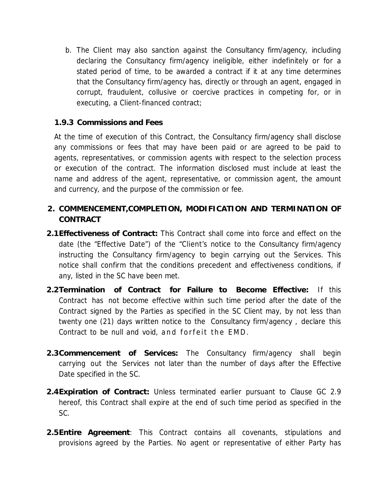- b. The Client may also sanction against the Consultancy firm/agency, including declaring the Consultancy firm/agency ineligible, either indefinitely or for a stated period of time, to be awarded a contract if it at any time determines that the Consultancy firm/agency has, directly or through an agent, engaged in corrupt, fraudulent, collusive or coercive practices in competing for, or in executing, a Client-financed contract;
- **1.9.3 Commissions and Fees**

At the time of execution of this Contract, the Consultancy firm/agency shall disclose any commissions or fees that may have been paid or are agreed to be paid to agents, representatives, or commission agents with respect to the selection process or execution of the contract. The information disclosed must include at least the name and address of the agent, representative, or commission agent, the amount and currency, and the purpose of the commission or fee.

- **2. COMMENCEMENT,COMPLETION, MODIFICATION AND TERMINATION OF CONTRACT**
- **2.1Effectiveness of Contract:** This Contract shall come into force and effect on the date (the "Effective Date") of the "Client's notice to the Consultancy firm/agency instructing the Consultancy firm/agency to begin carrying out the Services. This notice shall confirm that the conditions precedent and effectiveness conditions, if any, listed in the SC have been met.
- **2.2Termination of Contract for Failure to Become Effective:** If this Contract has not become effective within such time period after the date of the Contract signed by the Parties as specified in the SC Client may, by not less than twenty one (21) days written notice to the Consultancy firm/agency , declare this Contract to be null and void, and forfeit the EMD.
- **2.3Commencement of Services:** The Consultancy firm/agency shall begin carrying out the Services not later than the number of days after the Effective Date specified in the SC.
- **2.4Expiration of Contract:** Unless terminated earlier pursuant to Clause GC 2.9 hereof, this Contract shall expire at the end of such time period as specified in the SC.
- **2.5Entire Agreement**: This Contract contains all covenants, stipulations and provisions agreed by the Parties. No agent or representative of either Party has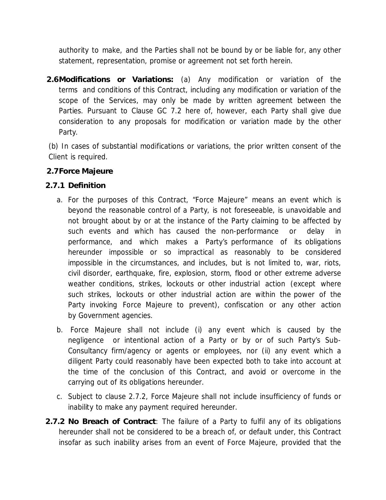authority to make, and the Parties shall not be bound by or be liable for, any other statement, representation, promise or agreement not set forth herein.

**2.6Modifications or Variations:** (a) Any modification or variation of the terms and conditions of this Contract, including any modification or variation of the scope of the Services, may only be made by written agreement between the Parties. Pursuant to Clause GC 7.2 here of, however, each Party shall give due consideration to any proposals for modification or variation made by the other Party.

(b) In cases of substantial modifications or variations, the prior written consent of the Client is required.

- **2.7Force Majeure**
- **2.7.1 Definition**
	- a. For the purposes of this Contract, "Force Majeure" means an event which is beyond the reasonable control of a Party, is not foreseeable, is unavoidable and not brought about by or at the instance of the Party claiming to be affected by such events and which has caused the non-performance or delay in performance, and which makes a Party's performance of its obligations hereunder impossible or so impractical as reasonably to be considered impossible in the circumstances, and includes, but is not limited to, war, riots, civil disorder, earthquake, fire, explosion, storm, flood or other extreme adverse weather conditions, strikes, lockouts or other industrial action (except where such strikes, lockouts or other industrial action are within the power of the Party invoking Force Majeure to prevent), confiscation or any other action by Government agencies.
	- b. Force Majeure shall not include (i) any event which is caused by the negligence or intentional action of a Party or by or of such Party's Sub- Consultancy firm/agency or agents or employees, nor (ii) any event which a diligent Party could reasonably have been expected both to take into account at the time of the conclusion of this Contract, and avoid or overcome in the carrying out of its obligations hereunder.
	- c. Subject to clause 2.7.2, Force Majeure shall not include insufficiency of funds or inability to make any payment required hereunder.
- **2.7.2 No Breach of Contract**: The failure of a Party to fulfil any ofits obligations hereunder shall not be considered to be a breach of, or default under, this Contract insofar as such inability arises from an event of Force Majeure, provided that the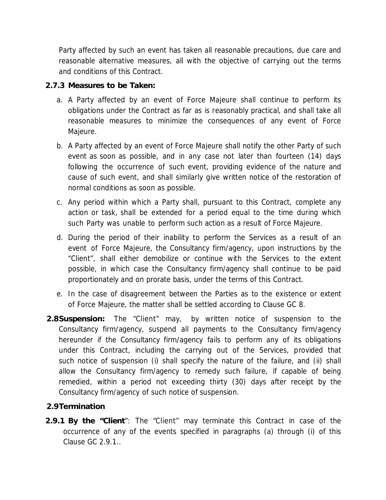Party affected by such an event has taken all reasonable precautions, due care and reasonable alternative measures, all with the objective of carrying out the terms and conditions of this Contract.

- **2.7.3 Measures to be Taken:**
	- a. A Party affected by an event of Force Majeure shall continue to perform its obligations under the Contract as far as is reasonably practical, and shall take all reasonable measures to minimize the consequences of any event of Force Majeure.
	- b. A Party affected by an event of Force Majeure shall notify the other Party of such event as soon as possible, and in any case not later than fourteen (14) days following the occurrence of such event, providing evidence of the nature and cause of such event, and shall similarly give written notice of the restoration of normal conditions as soon as possible.
	- c. Any period within which a Party shall, pursuant to this Contract, complete any action or task, shall be extended for a period equal to the time during which such Party was unable to perform such action as a result of Force Majeure.
	- d. During the period of their inability to perform the Services as a result of an event of Force Majeure, the Consultancy firm/agency, upon instructions by the "Client", shall either demobilize or continue with the Services to the extent possible, in which case the Consultancy firm/agency shall continue to be paid proportionately and on prorate basis, under the terms of this Contract.
	- e. In the case of disagreement between the Parties as to the existence or extent of Force Majeure, the matter shall be settled according to Clause GC 8.
- **2.8Suspension:** The "Client" may, by written notice of suspension to the Consultancy firm/agency, suspend all payments to the Consultancy firm/agency hereunder if the Consultancy firm/agency fails to perform any of its obligations under this Contract, including the carrying out of the Services, provided that such notice of suspension (i) shall specify the nature of the failure, and (ii) shall allow the Consultancy firm/agency to remedy such failure, if capable of being remedied, within a period not exceeding thirty (30) days after receipt by the Consultancy firm/agency of such notice of suspension.

#### **2.9Termination**

**2.9.1 By the "Client**": The "Client" may terminate this Contract in case ofthe occurrence of any of the events specified in paragraphs (a) through (i) of this Clause GC 2.9.1..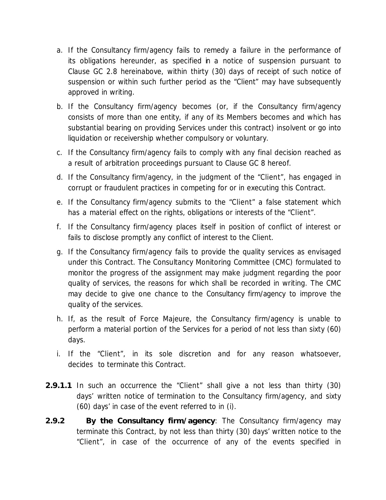- a. If the Consultancy firm/agency fails to remedy a failure in the performance of its obligations hereunder, as specified in a notice of suspension pursuant to Clause GC 2.8 hereinabove, within thirty (30) days of receipt of such notice of suspension or within such further period as the "Client" may have subsequently approved in writing.
- b. If the Consultancy firm/agency becomes (or, if the Consultancy firm/agency consists of more than one entity, if any of its Members becomes and which has substantial bearing on providing Services under this contract) insolvent or go into liquidation or receivership whether compulsory or voluntary.
- c. If the Consultancy firm/agency fails to comply with any final decision reached as a result of arbitration proceedings pursuant to Clause GC 8 hereof.
- d. If the Consultancy firm/agency, in the judgment of the "Client", has engaged in corrupt or fraudulent practices in competing for or in executing this Contract.
- e. If the Consultancy firm/agency submits to the "Client" a false statement which has a material effect on the rights, obligations or interests of the "Client".
- f. If the Consultancy firm/agency places itself in position of conflict of interest or fails to disclose promptly any conflict of interest to the Client.
- g. If the Consultancy firm/agency fails to provide the quality services as envisaged under this Contract. The Consultancy Monitoring Committee (CMC) formulated to monitor the progress of the assignment may make judgment regarding the poor quality of services, the reasons for which shall be recorded in writing. The CMC may decide to give one chance to the Consultancy firm/agency to improve the quality of the services.
- h. If, as the result of Force Majeure, the Consultancy firm/agency is unable to perform a material portion of the Services for a period of not less than sixty (60) days.
- i. If the "Client", in its sole discretion and for any reason whatsoever, decides to terminate this Contract.
- **2.9.1.1** In such an occurrence the "Client" shall give a not less than thirty (30) days' written notice of termination to the Consultancy firm/agency, and sixty (60) days' in case of the event referred to in (i).
- **2.9.2 By the Consultancy firm/agency**: The Consultancy firm/agency may terminate this Contract, by not less than thirty (30) days' written notice to the "Client", in case of the occurrence of any of the events specified in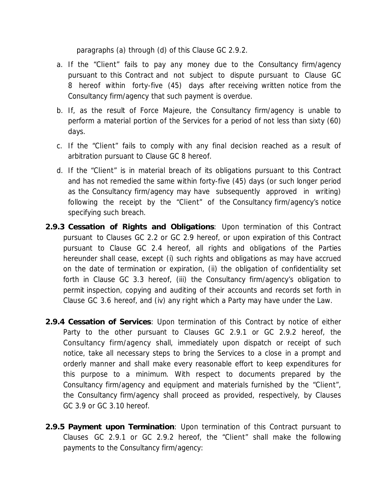paragraphs (a) through (d) of this Clause GC 2.9.2.

- a. If the "Client" fails to pay any money due to the Consultancy firm/agency pursuant to this Contract and not subject to dispute pursuant to Clause GC 8 hereof within forty-five (45) days after receiving written notice from the Consultancy firm/agency that such payment is overdue.
- b. If, as the result of Force Majeure, the Consultancy firm/agency is unable to perform a material portion of the Services for a period of not less than sixty (60) days.
- c. If the "Client" fails to comply with any final decision reached as a result of arbitration pursuant to Clause GC 8 hereof.
- d. If the "Client" is in material breach of its obligations pursuant to this Contract and has not remedied the same within forty-five (45) days (or such longer period as the Consultancy firm/agency may have subsequently approved in writing) following the receipt by the "Client" of the Consultancy firm/agency's notice specifying such breach.
- **2.9.3 Cessation of Rights and Obligations**: Upon termination of this Contract pursuant to Clauses GC 2.2 or GC 2.9 hereof, or upon expiration of this Contract pursuant to Clause GC 2.4 hereof, all rights and obligations of the Parties hereunder shall cease, except (i) such rights and obligations as may have accrued on the date of termination or expiration, (ii) the obligation of confidentiality set forth in Clause GC 3.3 hereof, (iii) the Consultancy firm/agency's obligation to permit inspection, copying and auditing of their accounts and records set forth in Clause GC 3.6 hereof, and (iv) any right which a Party may have under the Law.
- **2.9.4 Cessation of Services**: Upon termination of this Contract by notice of either Party to the other pursuant to Clauses GC 2.9.1 or GC 2.9.2 hereof, the Consultancy firm/agency shall, immediately upon dispatch or receipt of such notice, take all necessary steps to bring the Services to a close in a prompt and orderly manner and shall make every reasonable effort to keep expenditures for this purpose to a minimum. With respect to documents prepared by the Consultancy firm/agency and equipment and materials furnished by the "Client", the Consultancy firm/agency shall proceed as provided, respectively, by Clauses GC 3.9 or GC 3.10 hereof.
- **2.9.5 Payment upon Termination**: Upon termination of this Contract pursuant to Clauses GC 2.9.1 or GC 2.9.2 hereof, the "Client" shall make the following payments to the Consultancy firm/agency: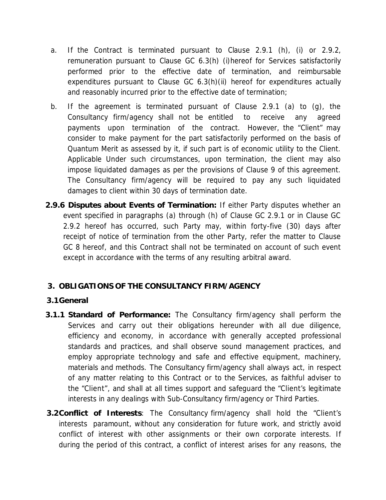- a. If the Contract is terminated pursuant to Clause 2.9.1 (h), (i) or 2.9.2, remuneration pursuant to Clause GC 6.3(h) (i)hereof for Services satisfactorily performed prior to the effective date of termination, and reimbursable expenditures pursuant to Clause GC 6.3(h)(ii) hereof for expenditures actually and reasonably incurred prior to the effective date of termination;
- b. If the agreement is terminated pursuant of Clause 2.9.1 (a) to (g), the Consultancy firm/agency shall not be entitled to receive any agreed payments upon termination of the contract. However, the "Client" may consider to make payment for the part satisfactorily performed on the basis of Quantum Merit as assessed by it, if such part is of economic utility to the Client. Applicable Under such circumstances, upon termination, the client may also impose liquidated damages as per the provisions of Clause 9 of this agreement. The Consultancy firm/agency will be required to pay any such liquidated damages to client within 30 days of termination date.
- **2.9.6 Disputes about Events of Termination:** If either Party disputes whether an event specified in paragraphs (a) through (h) of Clause GC 2.9.1 or in Clause GC 2.9.2 hereof has occurred, such Party may, within forty-five (30) days after receipt of notice of termination from the other Party, refer the matter to Clause GC 8 hereof, and this Contract shall not be terminated on account of such event except in accordance with the terms of any resulting arbitral award.

## **3. OBLIGATIONS OF THE CONSULTANCY FIRM/AGENCY**

- **3.1General**
- **3.1.1 Standard of Performance:** The Consultancy firm/agency shall perform the Services and carry out their obligations hereunder with all due diligence, efficiency and economy, in accordance with generally accepted professional standards and practices, and shall observe sound management practices, and employ appropriate technology and safe and effective equipment, machinery, materials and methods. The Consultancy firm/agency shall always act, in respect of any matter relating to this Contract or to the Services, as faithful adviser to the "Client", and shall at all times support and safeguard the "Client's legitimate interests in any dealings with Sub-Consultancy firm/agency or Third Parties.
- **3.2Conflict of Interests**: The Consultancy firm/agency shall hold the "Client's interests paramount, without any consideration for future work, and strictly avoid conflict of interest with other assignments or their own corporate interests. If during the period of this contract, a conflict of interest arises for any reasons, the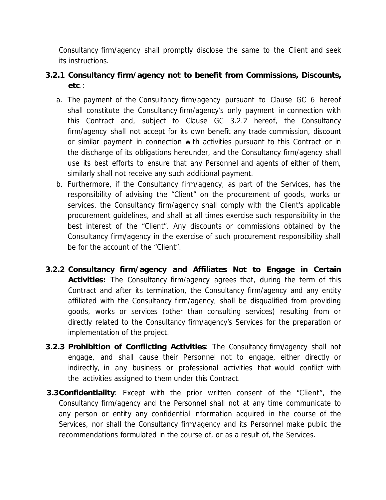Consultancy firm/agency shall promptly disclose the same to the Client and seek its instructions.

- **3.2.1 Consultancy firm/agency not to benefit from Commissions, Discounts, etc**.:
	- a. The payment of the Consultancy firm/agency pursuant to Clause GC 6 hereof shall constitute the Consultancy firm/agency's only payment in connection with this Contract and, subject to Clause GC 3.2.2 hereof, the Consultancy firm/agency shall not accept for its own benefit any trade commission, discount or similar payment in connection with activities pursuant to this Contract or in the discharge of its obligations hereunder, and the Consultancy firm/agency shall use its best efforts to ensure that any Personnel and agents of either of them, similarly shall not receive any such additional payment.
	- b. Furthermore, if the Consultancy firm/agency, as part of the Services, has the responsibility of advising the "Client" on the procurement of goods, works or services, the Consultancy firm/agency shall comply with the Client's applicable procurement guidelines, and shall at all times exercise such responsibility in the best interest of the "Client". Any discounts or commissions obtained by the Consultancy firm/agency in the exercise of such procurement responsibility shall be for the account of the "Client".
- **3.2.2 Consultancy firm/agency and Affiliates Not to Engage in Certain Activities:** The Consultancy firm/agency agrees that, during the term of this Contract and after its termination, the Consultancy firm/agency and any entity affiliated with the Consultancy firm/agency, shall be disqualified from providing goods, works or services (other than consulting services) resulting from or directly related to the Consultancy firm/agency's Services for the preparation or implementation of the project.
- **3.2.3 Prohibition of Conflicting Activities**: The Consultancy firm/agency shall not engage, and shall cause their Personnel not to engage, either directly or indirectly, in any business or professional activities that would conflict with the activities assigned to them under this Contract.
- **3.3Confidentiality**: Except with the prior written consent of the "Client", the Consultancy firm/agency and the Personnel shall not at any time communicate to any person or entity any confidential information acquired in the course of the Services, nor shall the Consultancy firm/agency and its Personnel make public the recommendations formulated in the course of, or as a result of, the Services.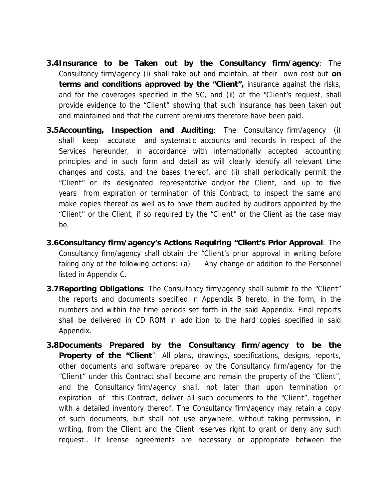- **3.4Insurance to be Taken out by the Consultancy firm/agency**: The Consultancy firm/agency (i) shall take out and maintain, at their own cost but **on terms and conditions approved by the "Client",** insurance against the risks, and for the coverages specified in the SC, and (ii) at the "Client's request, shall provide evidence to the "Client" showing that such insurance has been taken out and maintained and that the current premiums therefore have been paid.
- **3.5Accounting, Inspection and Auditing**: The Consultancy firm/agency (i) shall keep accurate and systematic accounts and records in respect of the Services hereunder, in accordance with internationally accepted accounting principles and in such form and detail as will clearly identify all relevant time changes and costs, and the bases thereof, and (ii) shall periodically permit the "Client" or its designated representative and/or the Client, and up to five years from expiration or termination of this Contract, to inspect the same and make copies thereof as well as to have them audited by auditors appointed by the "Client" or the Client, if so required by the "Client" or the Client as the case may be.
- **3.6Consultancy firm/agency's Actions Requiring "Client's Prior Approval**: The Consultancy firm/agency shall obtain the "Client's prior approval in writing before taking any of the following actions: (a) Any change or addition to the Personnel listed in Appendix C.
- **3.7Reporting Obligations**: The Consultancy firm/agency shall submit to the "Client" the reports and documents specified in Appendix B hereto, in the form, in the numbers and within the time periods set forth in the said Appendix. Final reports shall be delivered in CD ROM in add ition to the hard copies specified in said Appendix.
- **3.8Documents Prepared by the Consultancy firm/agency to be the Property of the "Client**": All plans, drawings, specifications, designs, reports, other documents and software prepared by the Consultancy firm/agency for the "Client" under this Contract shall become and remain the property of the "Client", and the Consultancy firm/agency shall, not later than upon termination or expiration of this Contract, deliver all such documents to the "Client", together with a detailed inventory thereof. The Consultancy firm/agency may retain a copy of such documents, but shall not use anywhere, without taking permission, in writing, from the Client and the Client reserves right to grant or deny any such request.. If license agreements are necessary or appropriate between the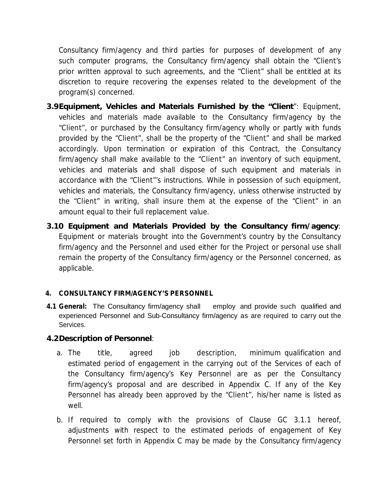Consultancy firm/agency and third parties for purposes of development of any such computer programs, the Consultancy firm/agency shall obtain the "Client's prior written approval to such agreements, and the "Client" shall be entitled at its discretion to require recovering the expenses related to the development of the program(s) concerned.

- **3.9Equipment, Vehicles and Materials Furnished by the "Client**": Equipment, vehicles and materials made available to the Consultancy firm/agency by the "Client", or purchased by the Consultancy firm/agency wholly or partly with funds provided by the "Client", shall be the property of the "Client" and shallbe marked accordingly. Upon termination or expiration of this Contract, the Consultancy firm/agency shall make available to the "Client" an inventory of such equipment, vehicles and materials and shall dispose of such equipment and materials in accordance with the "Client"'s instructions. While in possession of such equipment, vehicles and materials, the Consultancy firm/agency, unless otherwise instructed by the "Client" in writing, shall insure them at the expense of the "Client" in an amount equal to their full replacement value.
- **3.10 Equipment and Materials Provided by the Consultancy firm/agency**: Equipment or materials brought into the Government's country by the Consultancy firm/agency and the Personnel and used either for the Project or personal use shall remain the property of the Consultancy firm/agency or the Personnel concerned, as applicable.

#### **4. CONSULTANCY FIRM/AGENCY'S PERSONNEL**

**4.1 General:** The Consultancy firm/agency shall employ and provide such qualified and experienced Personnel and Sub-Consultancy firm/agency as are required to carry out the Services.

**4.2Description of Personnel**:

- a. The title, agreed job description, minimum qualification and estimated period of engagement in the carrying out of the Services of each of the Consultancy firm/agency's Key Personnel are as per the Consultancy firm/agency's proposal and are described in Appendix C. If any of the Key Personnel has already been approved by the "Client", his/her name is listed as well.
- b. If required to comply with the provisions of Clause GC 3.1.1 hereof, adjustments with respect to the estimated periods of engagement of Key Personnel set forth in Appendix C may be made by the Consultancy firm/agency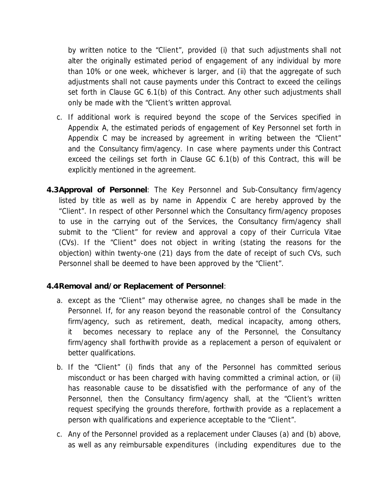by written notice to the "Client", provided (i) that such adjustments shall not alter the originally estimated period of engagement of any individual by more than 10% or oneweek, whichever is larger, and (ii) that the aggregate of such adjustments shall not cause payments under this Contract to exceed the ceilings set forth in Clause GC 6.1(b) of this Contract. Any other such adjustments shall only be made with the "Client's written approval.

- c. If additional work is required beyond the scope of the Services specified in Appendix A, the estimated periods of engagement of Key Personnel set forth in Appendix C may be increased by agreement in writing between the "Client" and the Consultancy firm/agency. In case where payments under this Contract exceed the ceilings set forth in Clause GC 6.1(b) of this Contract, this will be explicitly mentioned in the agreement.
- **4.3Approval of Personnel**: The Key Personnel and Sub-Consultancy firm/agency listed by title as well as by name in Appendix C are hereby approved by the "Client". In respect of other Personnel which the Consultancy firm/agency proposes to use in the carrying out of the Services, the Consultancy firm/agency shall submit to the "Client" for review and approval a copy of their Curricula Vitae (CVs). If the "Client" does not object in writing (stating the reasons for the objection) within twenty-one (21) days from the date of receipt of such CVs, such Personnel shall be deemed to have been approved by the "Client".
- **4.4Removal and/or Replacement of Personnel**:
	- a. except as the "Client" may otherwise agree, no changes shall be made in the Personnel. If, for any reason beyond the reasonable control of the Consultancy firm/agency, such as retirement, death, medical incapacity, among others, it becomes necessary to replace any of the Personnel, the Consultancy firm/agency shall forthwith provide as a replacement a person of equivalent or better qualifications.
	- b. If the "Client" (i) finds that any of the Personnel has committed serious misconduct or has been charged with having committed a criminal action, or (ii) has reasonable cause to be dissatisfied with the performance of any of the Personnel, then the Consultancy firm/agency shall, at the "Client's written request specifying the grounds therefore, forthwith provide as a replacement a person with qualifications and experience acceptable to the "Client".
	- c. Any of the Personnel provided as a replacement under Clauses (a) and (b) above, as well as any reimbursable expenditures (including expenditures due to the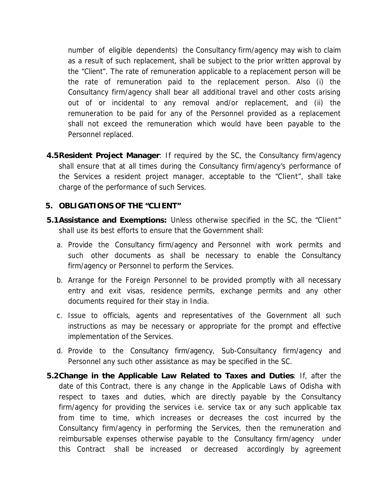number of eligible dependents) the Consultancy firm/agency may wish to claim as a result of such replacement, shall be subject to the prior written approval by the "Client". The rate of remuneration applicable to a replacement person will be the rate of remuneration paid to the replacement person. Also (i) the Consultancy firm/agency shall bear all additional travel and other costs arising out of or incidental to any removal and/or replacement, and (ii) the remuneration to be paid for any of the Personnel provided as a replacement shall not exceed the remuneration which would have been payable to the Personnel replaced.

- **4.5Resident Project Manager**: If required by the SC, the Consultancy firm/agency shall ensure that at all times during the Consultancy firm/agency's performance of the Services a resident project manager, acceptable to the "Client", shall take charge of the performance of such Services.
- **5. OBLIGATIONS OF THE "CLIENT"**
- **5.1Assistance and Exemptions:** Unless otherwise specified in the SC, the "Client" shall use its best efforts to ensure that the Government shall:
	- a. Provide the Consultancy firm/agency and Personnel with work permits and such other documents as shall be necessary to enable the Consultancy firm/agency or Personnel to perform the Services.
	- b. Arrange for the Foreign Personnel to be provided promptly with all necessary entry and exit visas, residence permits, exchange permits and any other documents required for their stay in India.
	- c. Issue to officials, agents and representatives of the Government all such instructions as may be necessary or appropriate for the prompt and effective implementation of the Services.
	- d. Provide to the Consultancy firm/agency, Sub-Consultancy firm/agency and Personnel any such other assistance as may be specified in the SC.
- **5.2Change in the Applicable Law Related to Taxes and Duties**: If, after the date of this Contract, there is any change in the Applicable Laws of Odisha with respect to taxes and duties, which are directly payable by the Consultancy firm/agency for providing the services i.e. service tax or any such applicable tax from time to time, which increases or decreases the cost incurred by the Consultancy firm/agency in performing the Services, then the remuneration and reimbursable expenses otherwise payable to the Consultancy firm/agency under this Contract shall be increased or decreased accordingly by agreement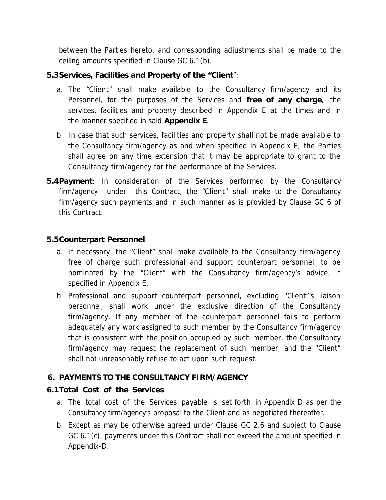between the Parties hereto, and corresponding adjustments shall be made to the ceiling amounts specified in Clause GC 6.1(b).

- **5.3Services, Facilities and Property of the "Client**":
	- a. The "Client" shall make available to the Consultancy firm/agency and its Personnel, for the purposes of the Services and **free of any charge**, the services, facilities and property described in Appendix E at the times and in the manner specified in said **Appendix E**.
	- b. In case that such services, facilities and property shall not be made available to the Consultancy firm/agency as and when specified in Appendix E, the Parties shall agree on any time extension that it may be appropriate to grant to the Consultancy firm/agency for the performance of the Services.
- **5.4Payment**: In consideration of the Services performed by the Consultancy firm/agency under this Contract, the "Client" shall make to the Consultancy firm/agency such payments and in such manner as is provided by Clause GC 6 of this Contract.

#### **5.5Counterpart Personnel**:

- a. If necessary, the "Client" shall make available to the Consultancy firm/agency free of charge such professional and support counterpart personnel, to be nominated by the "Client" with the Consultancy firm/agency's advice, if specified in Appendix E.
- b. Professional and support counterpart personnel, excluding "Client"'s liaison personnel, shall work under the exclusive direction of the Consultancy firm/agency. If any member of the counterpart personnel fails to perform adequately any work assigned to such member by the Consultancy firm/agency that is consistent with the position occupied by such member, the Consultancy firm/agency may request the replacement of such member, and the "Client" shall not unreasonably refuse to act upon such request.

#### **6. PAYMENTS TO THE CONSULTANCY FIRM/AGENCY**

#### **6.1Total Cost of the Services**

- a. The total cost of the Services payable is set forth in Appendix D as per the Consultancy firm/agency's proposal to the Client and as negotiated thereafter.
- b. Except as may be otherwise agreed under Clause GC 2.6 and subject to Clause GC 6.1(c), payments under this Contract shall not exceed the amount specified in Appendix-D.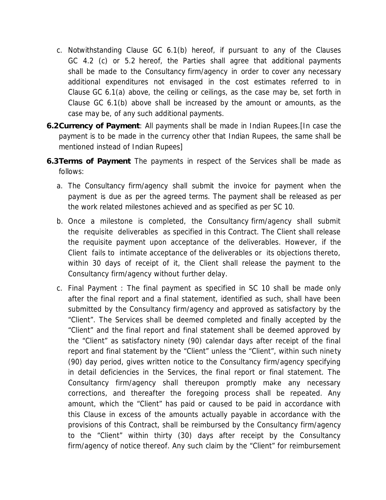- c. Notwithstanding Clause GC 6.1(b) hereof, if pursuant to any of the Clauses GC 4.2 (c) or 5.2 hereof, the Parties shall agree that additional payments shall be made to the Consultancy firm/agency in order to cover any necessary additional expenditures not envisaged in the cost estimates referred to in Clause GC 6.1(a) above, the ceiling or ceilings, as the case may be, set forth in Clause GC 6.1(b) above shall be increased by the amount or amounts, as the case may be, of any such additional payments.
- **6.2Currency ofPayment**: All payments shall be made in Indian Rupees.[In case the payment is to be made in the currency other that Indian Rupees, the same shall be mentioned instead of Indian Rupees]
- **6.3Terms of Payment** The payments in respect of the Services shall be made as follows:
	- a. The Consultancy firm/agency shall submit the invoice for payment when the payment is due as per the agreed terms. The payment shall be released as per the work related milestones achieved and as specified as per SC 10.
	- b. Once a milestone is completed, the Consultancy firm/agency shall submit the requisite deliverables as specified in this Contract. The Client shall release the requisite payment upon acceptance of the deliverables. However, if the Client fails to intimate acceptance of the deliverables or its objections thereto, within 30 days of receipt of it, the Client shall release the payment to the Consultancy firm/agency without further delay.
	- c. Final Payment : The final payment as specified in SC 10 shall be made only after the final report and a final statement, identified as such, shall have been submitted by the Consultancy firm/agency and approved as satisfactory by the "Client". The Services shall be deemed completed and finally accepted by the "Client" and the final report and final statement shall be deemed approved by the "Client" as satisfactory ninety (90) calendar days after receipt of the final report and final statement by the "Client" unless the "Client", within such ninety (90) day period, gives written notice to the Consultancy firm/agency specifying in detail deficiencies in the Services, the final report or final statement. The Consultancy firm/agency shall thereupon promptly make any necessary corrections, and thereafter the foregoing process shall be repeated. Any amount, which the "Client" has paid or caused to be paid in accordance with this Clause in excess of the amounts actually payable in accordance with the provisions of this Contract, shall be reimbursed by the Consultancy firm/agency to the "Client" within thirty (30) days after receipt by the Consultancy firm/agency of notice thereof. Any such claim by the "Client" for reimbursement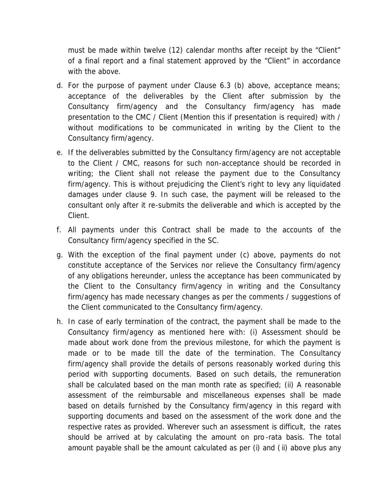must be made within twelve (12) calendar months after receipt by the "Client" of a final report and a final statement approved by the "Client" in accordance with the above.

- d. For the purpose of payment under Clause 6.3 (b) above, acceptance means; acceptance of the deliverables by the Client after submission by the Consultancy firm/agency and the Consultancy firm/agency has made presentation to the CMC / Client (Mention this if presentation is required) with / without modifications to be communicated in writing by the Client to the Consultancy firm/agency.
- e. If the deliverables submitted by the Consultancy firm/agency are not acceptable to the Client / CMC, reasons for such non-acceptance should be recorded in writing; the Client shall not release the payment due to the Consultancy firm/agency. This is without prejudicing the Client's right to levy any liquidated damages under clause 9. In such case, the payment will be released to the consultant only after it re-submits the deliverable and which is accepted by the Client.
- f. All payments under this Contract shall be made to the accounts of the Consultancy firm/agency specified in the SC.
- g. With the exception of the final payment under (c) above, payments do not constitute acceptance of the Services nor relieve the Consultancy firm/agency of any obligations hereunder, unless the acceptance has been communicated by the Client to the Consultancy firm/agency in writing and the Consultancy firm/agency has made necessary changes as per the comments / suggestions of the Client communicated to the Consultancy firm/agency.
- h. In case of early termination of the contract, the payment shall be made to the Consultancy firm/agency as mentioned here with: (i) Assessment should be made about work done from the previous milestone, for which the payment is made or to be made till the date of the termination. The Consultancy firm/agency shall provide the details of persons reasonably worked during this period with supporting documents. Based on such details, the remuneration shall be calculated based on the man month rate as specified; (ii) A reasonable assessment of the reimbursable and miscellaneous expenses shall be made based on details furnished by the Consultancy firm/agency in this regard with supporting documents and based on the assessment of the work done and the respective rates as provided. Wherever such an assessment is difficult, the rates should be arrived at by calculating the amount on pro -rata basis. The total amount payable shall be the amount calculated as per (i) and (ii) above plus any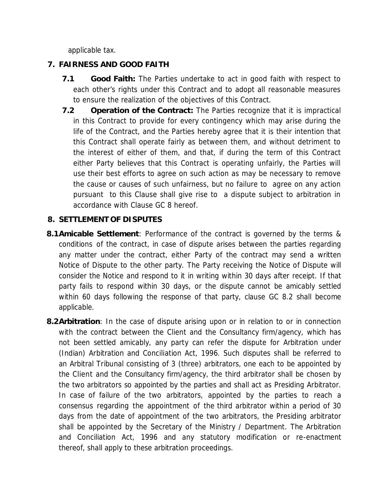applicable tax.

### **7. FAIRNESS AND GOOD FAITH**

- **7.1 Good Faith:** The Parties undertake to act in good faith with respect to each other's rights under this Contract and to adopt all reasonable measures to ensure the realization of the objectives of this Contract.
- **7.2 Operation of the Contract:** The Parties recognize that it is impractical in this Contract to provide for every contingency which may arise during the life of the Contract, and the Parties hereby agree that it is their intention that this Contract shall operate fairly as between them, and without detriment to the interest of either of them, and that, if during the term of this Contract either Party believes that this Contract is operating unfairly, the Parties will use their best efforts to agree on such action as may be necessary to remove the cause or causes of such unfairness, but no failure to agree on any action pursuant to this Clause shall give rise to a dispute subject to arbitration in accordance with Clause GC 8 hereof.

#### **8. SETTLEMENT OF DISPUTES**

- **8.1Amicable Settlement**: Performance of the contract is governed by the terms & conditions of the contract, in case of dispute arises between the parties regarding any matter under the contract, either Party of the contract may send a written Notice of Dispute to the other party. The Party receiving the Notice of Dispute will consider the Notice and respond to it in writing within 30 days after receipt. If that party fails to respond within 30 days, or the dispute cannot be amicably settled within 60 days following the response of that party, clause GC 8.2 shall become applicable.
- **8.2Arbitration**: In the case of dispute arising upon or in relation to orin connection with the contract between the Client and the Consultancy firm/agency, which has not been settled amicably, any party can refer the dispute for Arbitration under (Indian) Arbitration and Conciliation Act, 1996. Such disputes shall be referred to an Arbitral Tribunal consisting of 3 (three) arbitrators, one each to be appointed by the Client and the Consultancy firm/agency, the third arbitrator shall be chosen by the two arbitrators so appointed by the parties and shall act as Presiding Arbitrator. In case of failure of the two arbitrators, appointed by the parties to reach a consensus regarding the appointment of the third arbitrator within a period of 30 days from the date of appointment of the two arbitrators, the Presiding arbitrator shall be appointed by the Secretary of the Ministry / Department. The Arbitration and Conciliation Act, 1996 and any statutory modification or re-enactment thereof, shall apply to these arbitration proceedings.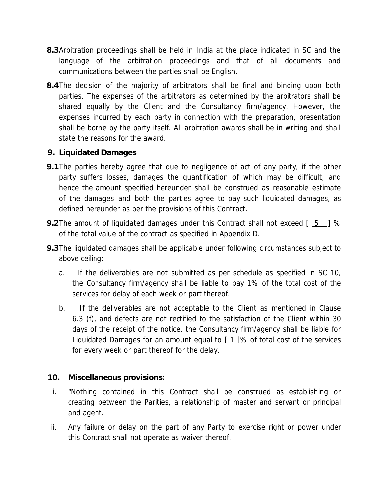- **8.3**Arbitration proceedings shall be held in India at the place indicated in SC and the language of the arbitration proceedings and that of all documents and communications between the parties shall be English.
- **8.4**The decision of the majority of arbitrators shall be final and binding upon both parties. The expenses of the arbitrators as determined by the arbitrators shall be shared equally by the Client and the Consultancy firm/agency. However, the expenses incurred by each party in connection with the preparation, presentation shall be borne by the party itself. All arbitration awards shall be in writing and shall state the reasons for the award.
- **9. Liquidated Damages**
- **9.1**The parties hereby agree that due to negligence of act of any party, if the other party suffers losses, damages the quantification of which may be difficult, and hence the amount specified hereunder shall be construed as reasonable estimate of the damages and both the parties agree to pay such liquidated damages, as defined hereunder as per the provisions of this Contract.
- **9.2**The amount of liquidated damages under this Contract shall not exceed [ 5 ] % of the total value of the contract as specified in Appendix D.
- **9.3**The liquidated damages shall be applicable under following circumstances subject to above ceiling:
	- a. If the deliverables are not submitted as per schedule as specified in SC 10, the Consultancy firm/agency shall be liable to pay 1% of the total cost of the services for delay of each week or part thereof.
	- b. If the deliverables are not acceptable to the Client as mentioned in Clause 6.3 (f),and defects are not rectified to the satisfaction of the Client within 30 days of the receipt of the notice, the Consultancy firm/agency shall be liable for Liquidated Damages for an amount equal to [ 1 ]% of total cost of the services for every week or part thereof for the delay.
- **10. Miscellaneous provisions:**
- i. "Nothing contained in this Contract shall be construed as establishing or creating between the Parities, a relationship of master and servant or principal and agent.
- ii. Any failure or delay on the part of any Party to exercise right or power under this Contract shall not operate as waiver thereof.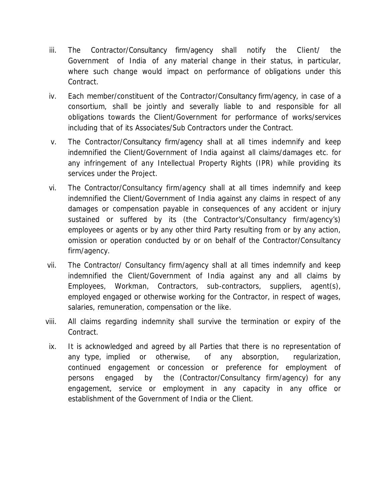- iii. The Contractor/Consultancy firm/agency shall notify the Client/ the Government of India of any material change in their status, in particular, where such change would impact on performance of obligations under this Contract.
- iv. Each member/constituent of the Contractor/Consultancy firm/agency, in case of a consortium, shall be jointly and severally liable to and responsible for all obligations towards the Client/Government for performance of works/services including that of its Associates/Sub Contractors under the Contract.
- v. The Contractor/Consultancy firm/agency shall at all times indemnify and keep indemnified the Client/Government of India against all claims/damages etc. for any infringement of any Intellectual Property Rights (IPR) while providing its services under the Project.
- vi. The Contractor/Consultancy firm/agency shall at all times indemnify and keep indemnified the Client/Government of India against any claims in respect of any damages or compensation payable in consequences of any accident or injury sustained or suffered by its (the Contractor's/Consultancy firm/agency's) employees or agents or by any other third Party resulting from or by any action, omission or operation conducted by or on behalf of the Contractor/Consultancy firm/agency.
- vii. The Contractor/ Consultancy firm/agency shall at all times indemnify and keep indemnified the Client/Government of India against any and all claims by Employees, Workman, Contractors, sub-contractors, suppliers, agent(s), employed engaged or otherwise working for the Contractor, in respect of wages, salaries, remuneration, compensation or the like.
- viii. All claims regarding indemnity shall survive the termination or expiry of the Contract.
- ix. It is acknowledged and agreed by all Parties that there is no representation of any type, implied or otherwise, of any absorption, regularization, continued engagement or concession or preference for employment of persons engaged by the (Contractor/Consultancy firm/agency) for any engagement, service or employment in any capacity in any office or establishment of the Government of India or the Client.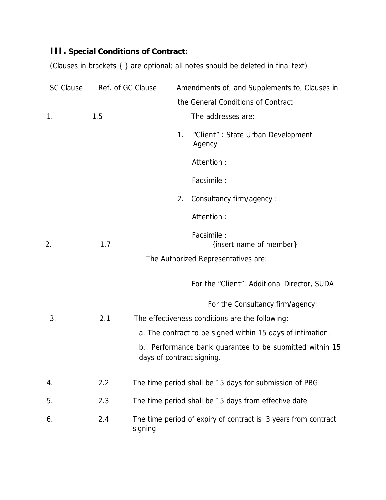**III. Special Conditions of Contract:**

(Clauses in brackets { } are optional; all notes should be deleted in final text)

| <b>SC Clause</b> |     | Ref. of GC Clause         |                                                                | Amendments of, and Supplements to, Clauses in              |
|------------------|-----|---------------------------|----------------------------------------------------------------|------------------------------------------------------------|
|                  |     |                           |                                                                | the General Conditions of Contract                         |
| 1.               | 1.5 |                           |                                                                | The addresses are:                                         |
|                  |     |                           | 1.                                                             | "Client": State Urban Development<br>Agency                |
|                  |     |                           |                                                                | Attention:                                                 |
|                  |     |                           |                                                                | Facsimile :                                                |
|                  |     |                           | 2.                                                             | Consultancy firm/agency:                                   |
|                  |     |                           |                                                                | Attention:                                                 |
| 2.               | 1.7 |                           |                                                                | Facsimile :<br>{insert name of member}                     |
|                  |     |                           |                                                                | The Authorized Representatives are:                        |
|                  |     |                           |                                                                | For the "Client": Additional Director, SUDA                |
|                  |     |                           |                                                                | For the Consultancy firm/agency:                           |
| 3.               | 2.1 |                           |                                                                | The effectiveness conditions are the following:            |
|                  |     |                           |                                                                | a. The contract to be signed within 15 days of intimation. |
|                  |     | days of contract signing. |                                                                | b. Performance bank guarantee to be submitted within 15    |
| 4.               | 2.2 |                           |                                                                | The time period shall be 15 days for submission of PBG     |
| 5.               | 2.3 |                           |                                                                | The time period shall be 15 days from effective date       |
| 6.               | 2.4 | signing                   | The time period of expiry of contract is 3 years from contract |                                                            |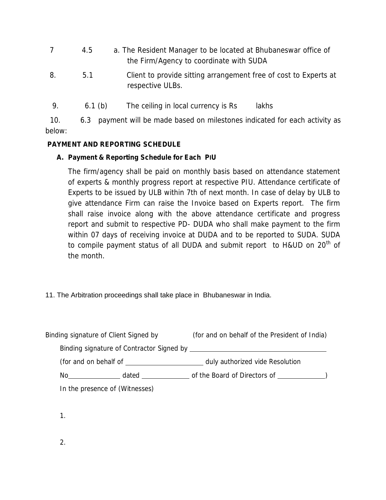|    | 4.5 | a. The Resident Manager to be located at Bhubaneswar office of<br>the Firm/Agency to coordinate with SUDA |
|----|-----|-----------------------------------------------------------------------------------------------------------|
| 8. | 5.1 | Client to provide sitting arrangement free of cost to Experts at<br>respective ULBs.                      |

9. 6.1 (b) The ceiling in local currency is Rs lakhs

10. 6.3 payment will be made based on milestones indicated for each activity as below:

### **PAYMENT AND REPORTING SCHEDULE**

## **A. Payment & Reporting Schedule for Each PIU**

The firm/agency shall be paid on monthly basis based on attendance statement of experts & monthly progress report at respective PIU. Attendance certificate of Experts to be issued by ULB within 7th of next month. In case of delay by ULB to give attendance Firm can raise the Invoice based on Experts report. The firm shall raise invoice along with the above attendance certificate and progress report and submit to respective PD- DUDA who shall make payment to the firm within 07 days of receiving invoice at DUDA and to be reported to SUDA. SUDA to compile payment status of all DUDA and submit report to H&UD on 20<sup>th</sup> of the month.

## 11. The Arbitration proceedings shall take place in Bhubaneswar in India.

| Binding signature of Client Signed by                                                                                                                                                                                                                                                                                                                                                                                                                             | (for and on behalf of the President of India) |
|-------------------------------------------------------------------------------------------------------------------------------------------------------------------------------------------------------------------------------------------------------------------------------------------------------------------------------------------------------------------------------------------------------------------------------------------------------------------|-----------------------------------------------|
|                                                                                                                                                                                                                                                                                                                                                                                                                                                                   |                                               |
|                                                                                                                                                                                                                                                                                                                                                                                                                                                                   |                                               |
| No and the second second second second second second second second second second second second second second second second second second second second second second second second second second second second second second s<br>dated and the state of the state of the state of the state of the state of the state of the state of the state of the state of the state of the state of the state of the state of the state of the state of the state of the s |                                               |
| In the presence of (Witnesses)                                                                                                                                                                                                                                                                                                                                                                                                                                    |                                               |

1.

2.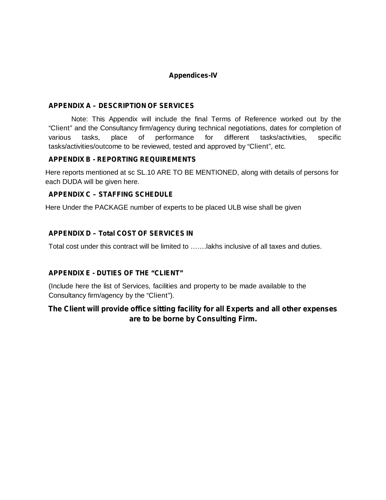#### **Appendices-IV**

#### **APPENDIX A – DESCRIPTION OF SERVICES**

Note: This Appendix will include the final Terms of Reference worked out by the "Client" and the Consultancy firm/agency during technical negotiations, dates for completion of various tasks, place of performance for different tasks/activities, specific tasks/activities/outcome to be reviewed, tested and approved by "Client", etc.

#### **APPENDIX B - REPORTING REQUIREMENTS**

Here reports mentioned at sc SL.10 ARE TO BE MENTIONED, along with details of persons for each DUDA will be given here.

#### **APPENDIX C – STAFFING SCHEDULE**

Here Under the PACKAGE number of experts to be placed ULB wise shall be given

#### **APPENDIX D – Total COST OF SERVICES IN**

Total cost under this contract will be limited to …….lakhs inclusive of all taxes and duties.

#### **APPENDIX E - DUTIES OF THE "CLIENT"**

(Include here the list of Services, facilities and property to be made available to the Consultancy firm/agency by the "Client").

#### **The Client will provide office sitting facility for all Experts and all other expenses are to be borne by Consulting Firm.**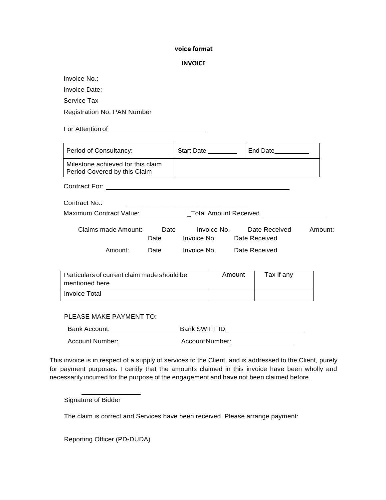#### **voice format**

| <b>INVOICE</b> |  |
|----------------|--|
|----------------|--|

Invoice No.: Invoice Date: Service Tax

Registration No. PAN Number

For Attention of **Exercise 2018** 

| Period of Consultancy:                                                           |  |                           | End Date___________ |         |
|----------------------------------------------------------------------------------|--|---------------------------|---------------------|---------|
| Milestone achieved for this claim<br>Period Covered by this Claim                |  |                           |                     |         |
|                                                                                  |  |                           |                     |         |
| Contract No.:                                                                    |  |                           |                     |         |
| Maximum Contract Value:___________________Total Amount Received ________________ |  |                           |                     |         |
| Claims made Amount: Date Invoice No. Date Received<br>Date                       |  | Invoice No. Date Received |                     | Amount: |
| Amount:<br>Date <b>Date</b>                                                      |  | Invoice No. Date Received |                     |         |
| Particulars of current claim made should be<br>mentioned here                    |  | Amount                    | Tax if any          |         |
| Invoice Total                                                                    |  |                           |                     |         |
| PLEASE MAKE PAYMENT TO:                                                          |  |                           |                     |         |
|                                                                                  |  |                           |                     |         |

Account Number: Account Number: Account Number:

This invoice is in respect of a supply of services to the Client, and is addressed to the Client, purely for payment purposes. I certify that the amounts claimed in this invoice have been wholly and necessarily incurred for the purpose of the engagement and have not been claimed before.

Signature of Bidder

The claim is correct and Services have been received. Please arrange payment:

Reporting Officer (PD-DUDA)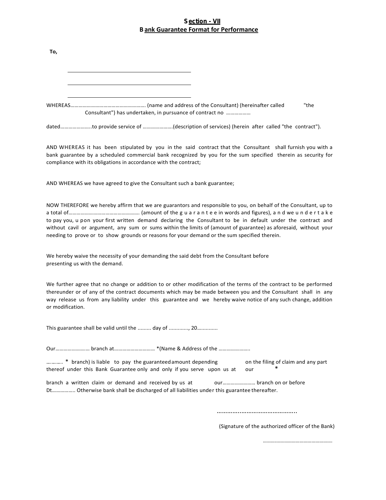#### **Section - VII B ank Guarantee Format for Performance**

| <u>ailk Odarantee Format for Ferformance</u>                                                                                                                                                                                                                                                                                                                                                                                                         |
|------------------------------------------------------------------------------------------------------------------------------------------------------------------------------------------------------------------------------------------------------------------------------------------------------------------------------------------------------------------------------------------------------------------------------------------------------|
| To,                                                                                                                                                                                                                                                                                                                                                                                                                                                  |
| "the                                                                                                                                                                                                                                                                                                                                                                                                                                                 |
| Consultant") has undertaken, in pursuance of contract no                                                                                                                                                                                                                                                                                                                                                                                             |
| dated…………………to provide service of …………………(description of services) (herein  after  called "the  contract").                                                                                                                                                                                                                                                                                                                                          |
| AND WHEREAS it has been stipulated by you in the said contract that the Consultant shall furnish you with a<br>bank guarantee by a scheduled commercial bank recognized by you for the sum specified therein as security for<br>compliance with its obligations in accordance with the contract;                                                                                                                                                     |
| AND WHEREAS we have agreed to give the Consultant such a bank guarantee;                                                                                                                                                                                                                                                                                                                                                                             |
| NOW THEREFORE we hereby affirm that we are guarantors and responsible to you, on behalf of the Consultant, up to<br>to pay you, u pon your first written demand declaring the Consultant to be in default under the contract and<br>without cavil or argument, any sum or sums within the limits of (amount of guarantee) as aforesaid, without your<br>needing to prove or to show grounds or reasons for your demand or the sum specified therein. |
| We hereby waive the necessity of your demanding the said debt from the Consultant before<br>presenting us with the demand.                                                                                                                                                                                                                                                                                                                           |
| We further agree that no change or addition to or other modification of the terms of the contract to be performed<br>thereunder or of any of the contract documents which may be made between you and the Consultant shall in any<br>way release us from any liability under this guarantee and we hereby waive notice of any such change, addition<br>or modification.                                                                              |
| This guarantee shall be valid until the  day of  20                                                                                                                                                                                                                                                                                                                                                                                                  |
| Our branch at *(Name & Address of the                                                                                                                                                                                                                                                                                                                                                                                                                |

………. \* branch) is liable to pay the guaranteed amount depending on the filing of claim and any part<br>thereof under this Bank Guarantee only and only if you serve upon us at our \* thereof under this Bank Guarantee only and only if you serve upon us at our

branch a written claim or demand and received by us at our............................. branch on or before Dt…………….. Otherwise bank shall be discharged of all liabilities under this guarantee thereafter.

…………..…………………………..

(Signature of the authorized officer of the Bank)

……….…………………………………….